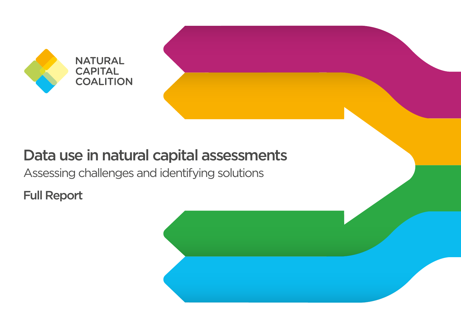

# Data use in natural capital assessments

Assessing challenges and identifying solutions

Full Report

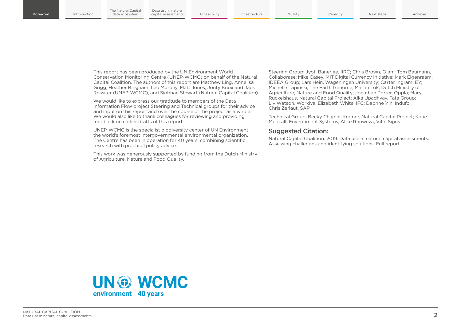This report has been produced by the UN Environment World Conservation Monitoring Centre (UNEP-WCMC) on behalf of the Natural Capital Coalition. The authors of this report are Matthew Ling, Annelisa Grigg, Heather Bingham, Leo Murphy, Matt Jones, Jonty Knox and Jack Rossiter (UNEP-WCMC), and Siobhan Stewart (Natural Capital Coalition).

We would like to express our gratitude to members of the Data Information Flow project Steering and Technical groups for their advice and input on this report and over the course of the project as a whole. We would also like to thank colleagues for reviewing and providing feedback on earlier drafts of this report.

UNEP-WCMC is the specialist biodiversity center of UN Environment, the world's foremost intergovernmental environmental organization. The Centre has been in operation for 40 years, combining scientific research with practical policy advice.

This work was generously supported by funding from the Dutch Ministry of Agriculture, Nature and Food Quality.

Steering Group: Jyoti Banerjee, IIRC; Chris Brown, Olam; Tom Baumann, Collaborase; Mike Casey, MIT Digital Currency Initiative; Mark Eigenraam, IDEEA Group; Lars Hein, Wageningen University; Carter Ingram, EY; Michelle Lapinski, The Earth Genome; Martin Lok, Dutch Ministry of Agriculture, Nature and Food Quality; Jonathan Porter, Oppla; Mary Ruckelshaus, Natural Capital Project; Alka Upadhyay, Tata Group; Liv Watson, Workiva; Elizabeth White, IFC; Daphne Yin, Indufor; Chris Zerlaut, SAP

Technical Group: Becky Chaplin-Kramer, Natural Capital Project; Katie Medcalf, Environment Systems; Alice Rhuweza, Vital Signs

#### Suggested Citation:

Natural Capital Coalition. 2019. Data use in natural capital assessments. Assessing challenges and identifying solutions. Full report.

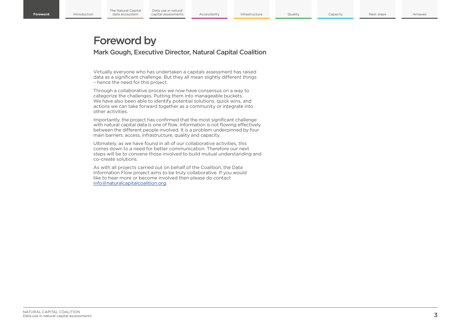## Foreword by

Mark Gough, Executive Director, Natural Capital Coalition

Virtually everyone who has undertaken a capitals assessment has raised data as a significant challenge. But they all mean slightly different things – hence the need for this project.

Through a collaborative process we now have consensus on a way to categorize the challenges. Putting them into manageable buckets. We have also been able to identify potential solutions, quick wins, and actions we can take forward together as a community or integrate into other activities.

Importantly, the project has confirmed that the most significant challenge with natural capital data is one of flow. Information is not flowing effectively between the different people involved. It is a problem underpinned by four main barriers: access, infrastructure, quality and capacity.

Ultimately, as we have found in all of our collaborative activities, this comes down to a need for better communication. Therefore our next steps will be to convene those involved to build mutual understanding and co-create solutions.

As with all projects carried out on behalf of the Coalition, the Data Information Flow project aims to be truly collaborative. If you would like to hear more or become involved then please do contact [info@naturalcapitalcoalition.org](mailto:info%40naturalcapitalcoalition.org?subject=).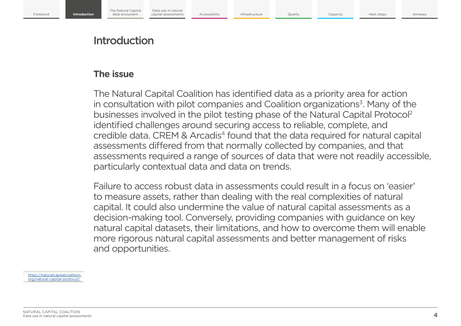## Introduction

## **The issue**

The Natural Capital Coalition has identified data as a priority area for action in consultation with pilot companies and Coalition organizations<sup>3</sup>. Many of the businesses involved in the pilot testing phase of the Natural Capital Protocol2 identified challenges around securing access to reliable, complete, and credible data. CREM & Arcadis<sup>4</sup> found that the data required for natural capital assessments differed from that normally collected by companies, and that assessments required a range of sources of data that were not readily accessible, particularly contextual data and data on trends.

Failure to access robust data in assessments could result in a focus on 'easier' to measure assets, rather than dealing with the real complexities of natural capital. It could also undermine the value of natural capital assessments as a decision-making tool. Conversely, providing companies with guidance on key natural capital datasets, their limitations, and how to overcome them will enable more rigorous natural capital assessments and better management of risks and opportunities.

[https://naturalcapitalcoalition.](https://naturalcapitalcoalition.org/natural-capital-protocol/) [org/natural-capital-protocol/](https://naturalcapitalcoalition.org/natural-capital-protocol/)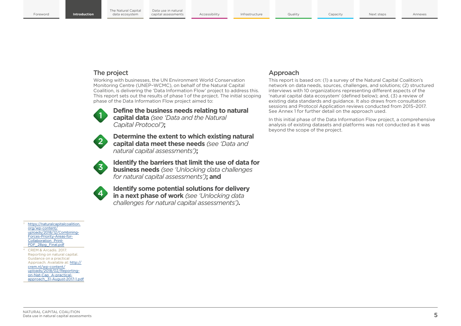The Natural Capital data ecosystem

Data use in natural<br>canital assessments

**Introduction** Accessibility Infrastructure Quality Capacity Foreword **Introduction** data ecosystem capital assessments Accessibility Infrastructure Quality Capacity Rext steps Annexes

## The project

Working with businesses, the UN Environment World Conservation Monitoring Centre (UNEP–WCMC), on behalf of the Natural Capital Coalition, is delivering the 'Data Information Flow' project to address this. This report sets out the results of phase 1 of the project. The initial scoping phase of the Data Information Flow project aimed to:



 **Define the business needs relating to natural capital data** *(see 'Data and the Natural Capital Protocol')***;**



 **Determine the extent to which existing natural capital data meet these needs** *(see 'Data and natural capital assessments')***;**



 **Identify the barriers that limit the use of data for business needs** *(see 'Unlocking data challenges for natural capital assessments')***; and**



 **Identify some potential solutions for delivery in a next phase of work** *(see 'Unlocking data challenges for natural capital assessments')***.**

## Approach

This report is based on: (1) a survey of the Natural Capital Coalition's network on data needs, sources, challenges, and solutions; (2) structured interviews with 10 organizations representing different aspects of the 'natural capital data ecosystem' (defined below); and, (3) a review of existing data standards and guidance. It also draws from consultation sessions and Protocol Application reviews conducted from 2015–2017. See Annex 1 for further detail on the approach used.

In this initial phase of the Data Information Flow project, a comprehensive analysis of existing datasets and platforms was not conducted as it was beyond the scope of the project.

#### [https://naturalcapitalcoalition.](https://naturalcapitalcoalition.org/wp-content/uploads/2018/12/Combining-Forces-Priority-Areas-for-Collaboration_Print-PDF_28pg_Final.pdf) [org/wp-content/](https://naturalcapitalcoalition.org/wp-content/uploads/2018/12/Combining-Forces-Priority-Areas-for-Collaboration_Print-PDF_28pg_Final.pdf) [uploads/2018/12/Combining-](https://naturalcapitalcoalition.org/wp-content/uploads/2018/12/Combining-Forces-Priority-Areas-for-Collaboration_Print-PDF_28pg_Final.pdf)[Forces-Priority-Areas-for-](https://naturalcapitalcoalition.org/wp-content/uploads/2018/12/Combining-Forces-Priority-Areas-for-Collaboration_Print-PDF_28pg_Final.pdf)[Collaboration\\_Print-](https://naturalcapitalcoalition.org/wp-content/uploads/2018/12/Combining-Forces-Priority-Areas-for-Collaboration_Print-PDF_28pg_Final.pdf)[PDF\\_28pg\\_Final.pdf](https://naturalcapitalcoalition.org/wp-content/uploads/2018/12/Combining-Forces-Priority-Areas-for-Collaboration_Print-PDF_28pg_Final.pdf)

CREM & Arcadis. 2017. Reporting on natural capital. Guidance on a practical Approach. Available at: [http://](http://crem.nl/wp-content/uploads/2018/02/Reporting-on-Nat-Cap_A-practical-approach_31-August-2017-1.pdf) [crem.nl/wp-content/](http://crem.nl/wp-content/uploads/2018/02/Reporting-on-Nat-Cap_A-practical-approach_31-August-2017-1.pdf) [uploads/2018/02/Reporting](http://crem.nl/wp-content/uploads/2018/02/Reporting-on-Nat-Cap_A-practical-approach_31-August-2017-1.pdf)[on-Nat-Cap\\_A-practical](http://crem.nl/wp-content/uploads/2018/02/Reporting-on-Nat-Cap_A-practical-approach_31-August-2017-1.pdf)[approach\\_31-August-2017-1.pdf](http://crem.nl/wp-content/uploads/2018/02/Reporting-on-Nat-Cap_A-practical-approach_31-August-2017-1.pdf)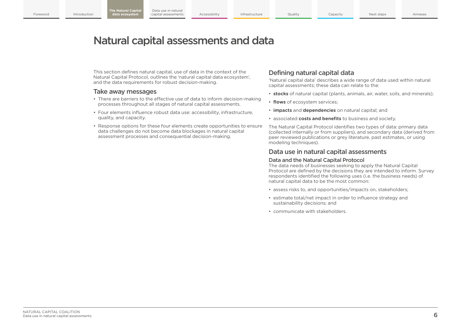## Natural capital assessments and data

This section defines natural capital, use of data in the context of the Natural Capital Protocol, outlines the 'natural capital data ecosystem', and the data requirements for robust decision-making.

#### Take away messages

- There are barriers to the effective use of data to inform decision-making processes throughout all stages of natural capital assessments.
- Four elements influence robust data use: accessibility, infrastructure, quality, and capacity.
- Response options for these four elements create opportunities to ensure data challenges do not become data blockages in natural capital assessment processes and consequential decision-making.

## Defining natural capital data

'Natural capital data' describes a wide range of data used within natural capital assessments; these data can relate to the:

- **stocks** of natural capital (plants, animals, air, water, soils, and minerals);
- **flows** of ecosystem services;
- **impacts** and **dependencies** on natural capital; and
- associated **costs and benefits** to business and society.

The Natural Capital Protocol identifies two types of data: primary data (collected internally or from suppliers), and secondary data (derived from peer reviewed publications or grey literature, past estimates, or using modeling techniques).

## Data use in natural capital assessments

#### Data and the Natural Capital Protocol

The data needs of businesses seeking to apply the Natural Capital Protocol are defined by the decisions they are intended to inform. Survey respondents identified the following uses (i.e. the business needs) of natural capital data to be the most common:

- assess risks to, and opportunities/impacts on, stakeholders;
- estimate total/net impact in order to influence strategy and sustainability decisions; and
- communicate with stakeholders.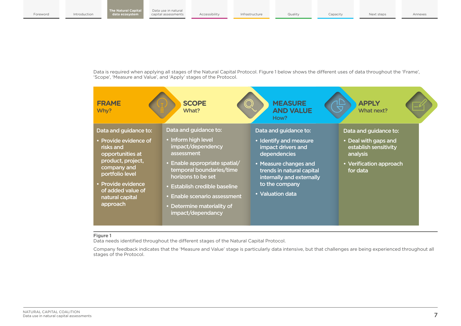Data is required when applying all stages of the Natural Capital Protocol. Figure 1 below shows the different uses of data throughout the 'Frame', 'Scope', 'Measure and Value', and 'Apply' stages of the Protocol.



#### Figure 1

Data needs identified throughout the different stages of the Natural Capital Protocol.

Company feedback indicates that the 'Measure and Value' stage is particularly data intensive, but that challenges are being experienced throughout all stages of the Protocol.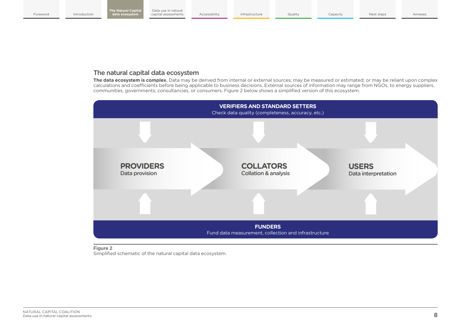## The natural capital data ecosystem

**The data ecosystem is complex.** Data may be derived from internal or external sources; may be measured or estimated; or may be reliant upon complex calculations and coefficients before being applicable to business decisions. External sources of information may range from NGOs, to energy suppliers, communities, governments, consultancies, or consumers. Figure 2 below shows a simplified version of this ecosystem.



#### Figure 2

Simplified schematic of the natural capital data ecosystem.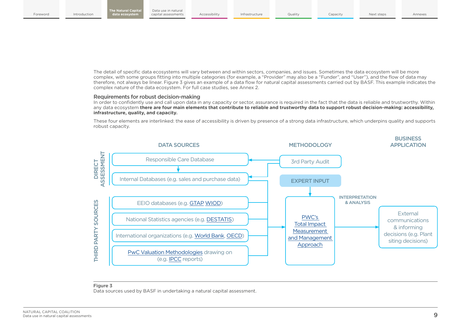The detail of specific data ecosystems will vary between and within sectors, companies, and issues. Sometimes the data ecosystem will be more complex, with some groups fitting into multiple categories (for example, a "Provider" may also be a "Funder", and "User"), and the flow of data may therefore, not always be linear. Figure 3 gives an example of a data flow for natural capital assessments carried out by BASF. This example indicates the complex nature of the data ecosystem. For full case studies, see Annex 2.

#### Requirements for robust decision-making

In order to confidently use and call upon data in any capacity or sector, assurance is required in the fact that the data is reliable and trustworthy. Within any data ecosystem **there are four main elements that contribute to reliable and trustworthy data to support robust decision-making: accessibility, infrastructure, quality, and capacity.**

These four elements are interlinked: the ease of accessibility is driven by presence of a strong data infrastructure, which underpins quality and supports robust capacity.



#### Figure 3

Data sources used by BASF in undertaking a natural capital assessment.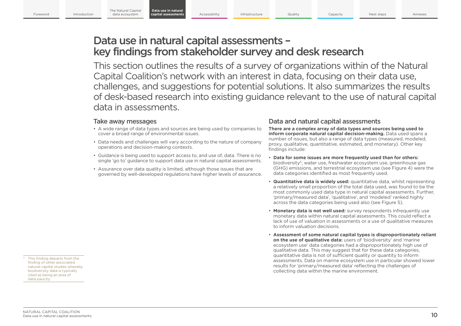**Data use in natural** 

Accessibility Infrastructure Quality Capacity **capital assessments** Accessibility Infrastructure Quality Gapacity Capacity Next steps Annexes

## Data use in natural capital assessments – key findings from stakeholder survey and desk research

This section outlines the results of a survey of organizations within of the Natural Capital Coalition's network with an interest in data, focusing on their data use, challenges, and suggestions for potential solutions. It also summarizes the results of desk-based research into existing guidance relevant to the use of natural capital data in assessments.

## Take away messages

- A wide range of data types and sources are being used by companies to cover a broad range of environmental issues.
- Data needs and challenges will vary according to the nature of company operations and decision-making contexts.
- Guidance is being used to support access to, and use of, data. There is no single 'go to' guidance to support data use in natural capital assessments.
- Assurance over data quality is limited, although those issues that are governed by well-developed regulations have higher levels of assurance.

## Data and natural capital assessments

**There are a complex array of data types and sources being used to inform corporate natural capital decision-making.** Data used spans a number of issues, but also a range of data types (measured, modeled, proxy, qualitative, quantitative, estimated, and monetary). Other key findings include:

- **Data for some issues are more frequently used than for others:** biodiversity<sup>5</sup>, water use, freshwater ecosystem use, greenhouse gas (GHG) emissions, and terrestrial ecosystem use (see Figure 4) were the data categories identified as most frequently used.
- **Quantitative data is widely used:** quantitative data, whilst representing a relatively small proportion of the total data used, was found to be the most commonly used data type in natural capital assessments. Further, 'primary/measured data', 'qualitative', and 'modeled' ranked highly across the data categories being used also (see Figure 5).
- **Monetary data is not well used:** survey respondents infrequently use monetary data within natural capital assessments. This could reflect a lack of use of valuation in assessments or a use of qualitative measures to inform valuation decisions.
- **Assessment of some natural capital types is disproportionately reliant on the use of qualitative data:** users of 'biodiversity' and 'marine ecosystem use' data categories had a disproportionately high use of qualitative data. This may suggest that for these data categories, quantitative data is not of sufficient quality or quantity to inform assessments. Data on marine ecosystem use in particular showed lower results for 'primary/measured data' reflecting the challenges of collecting data within the marine environment.

<sup>5</sup> This finding departs from the finding of other associated natural capital studies whereby biodiversity data is typically cited as being an area of data paucity.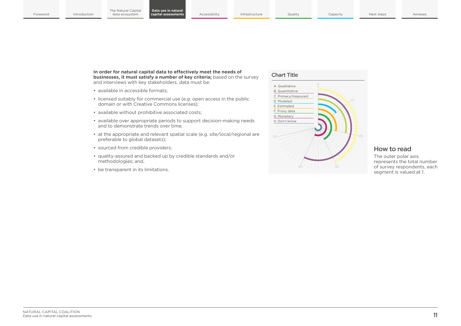**In order for natural capital data to effectively meet the needs of businesses, it must satisfy a number of key criteria;** based on the survey and interviews with key stakeholders, data must be:

- available in accessible formats;
- licensed suitably for commercial use (e.g. open access in the public domain or with Creative Commons licenses);
- available without prohibitive associated costs;
- available over appropriate periods to support decision-making needs and to demonstrate trends over time;
- at the appropriate and relevant spatial scale (e.g. site/local/regional are preferable to global datasets);
- sourced from credible providers;
- quality-assured and backed up by credible standards and/or methodologies; and,
- be transparent in its limitations.

#### Chart Title



### How to read

The outer polar axis represents the total number of survey respondents, each segment is valued at 1.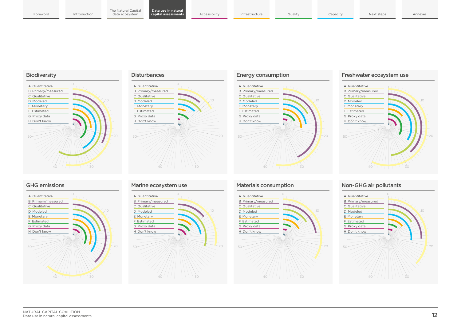

#### **Disturbances**



## Energy consumption 20 40  $\sqrt{1111}$ H Don't know G Proxy data F Estimated E Monetary D Modeled C Qualitative B Primary/measured A Quantitative

#### Freshwater ecosystem use



## GHG emissions







### Materials consumption



## Non-GHG air pollutants

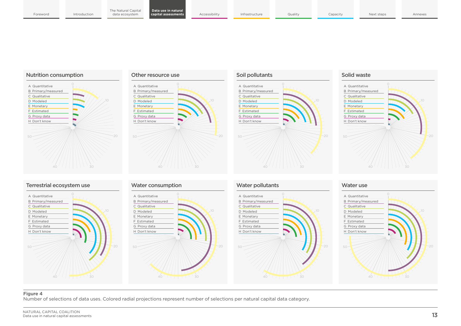



40 30



#### Solid waste



## Terrestrial ecosystem use









40 7 1 1 1 1 30

#### Water use



#### Figure 4

Number of selections of data uses. Colored radial projections represent number of selections per natural capital data category.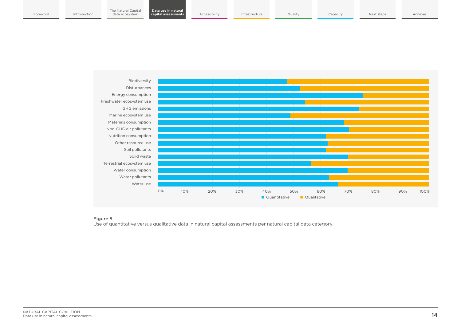

#### Figure 5

Use of quantitative versus qualitative data in natural capital assessments per natural capital data category.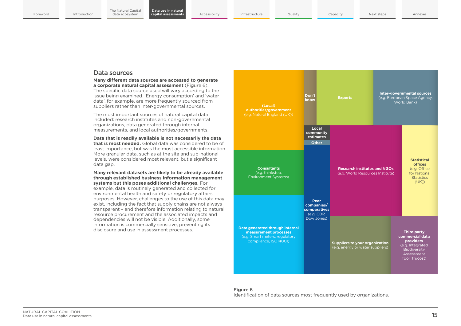**Data use in natural** 

#### Data sources

**Many different data sources are accessed to generate a corporate natural capital assessment** (Figure 6). The specific data source used will vary according to the issue being examined. 'Energy consumption' and 'water data', for example, are more frequently sourced from suppliers rather than inter-governmental sources.

The most important sources of natural capital data included: research institutes and non-governmental organizations, data generated through internal measurements, and local authorities/governments.

#### **Data that is readily available is not necessarily the data that is most needed.** Global data was considered to be of least importance, but was the most accessible information. More granular data, such as at the site and sub-national levels, were considered most relevant, but a significant data gap.

#### **Many relevant datasets are likely to be already available through established business information management systems but this poses additional challenges.** For

example, data is routinely generated and collected for environmental health and safety or regulatory affairs purposes. However, challenges to the use of this data may exist, including the fact that supply chains are not always transparent – and therefore information relating to natural resource procurement and the associated impacts and dependencies will not be visible. Additionally, some information is commercially sensitive, preventing its disclosure and use in assessment processes.

| (Local)<br>authorities/government<br>(e.g. Natural England (UK))                                                    | Don't<br>know                                    | <b>Experts</b>                                                            | <b>Inter-governmental sources</b><br>(e.g. European Space Agency,<br>World Bank) |                                                                                                                        |
|---------------------------------------------------------------------------------------------------------------------|--------------------------------------------------|---------------------------------------------------------------------------|----------------------------------------------------------------------------------|------------------------------------------------------------------------------------------------------------------------|
|                                                                                                                     | Local<br>community<br>estimates<br><b>Other</b>  |                                                                           |                                                                                  |                                                                                                                        |
| <b>Consultants</b><br>(e.g. thinkstep,<br><b>Environment Systems)</b>                                               |                                                  | <b>Research institutes and NGOs</b><br>(e.g. World Resources Institute)   |                                                                                  | <b>Statistical</b><br><b>offices</b><br>(e.g. Office<br>for National<br><b>Statistics</b><br>(UK))                     |
|                                                                                                                     | Peer<br>companies/<br>comparatives<br>(e.g. CDP, |                                                                           |                                                                                  |                                                                                                                        |
| Data generated through internal<br>measurement processes<br>(e.g. Smart meters, regulatory<br>compliance, ISO14001) | Dow Jones)                                       | <b>Suppliers to your organization</b><br>(e.g. energy or water suppliers) |                                                                                  | <b>Third party</b><br>commercial data<br>providers<br>(e.g. Integrated<br>Biodiversity<br>Assessment<br>Tool, Trucost) |

#### Figure 6

Identification of data sources most frequently used by organizations.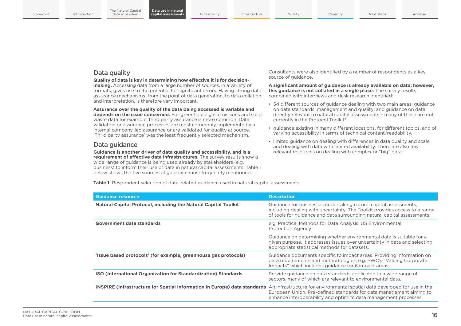### Data quality

**Quality of data is key in determining how effective it is for decisionmaking.** Accessing data from a large number of sources, in a variety of formats, gives rise to the potential for significant errors. Having strong data assurance mechanisms, from the point of data generation, to data collation and interpretation, is therefore very important.

**Assurance over the quality of the data being accessed is variable and depends on the issue concerned.** For greenhouse gas emissions and solid waste data for example, third party assurance is more common. Data validation or assurance processes are most commonly implemented via internal company-led assurance or are validated for quality at source. 'Third party assurance' was the least frequently selected mechanism.

## Data guidance

**Guidance is another driver of data quality and accessibility, and is a requirement of effective data infrastructures.** The survey results show a wide range of guidance is being used already by stakeholders (e.g. business) to inform their use of data in natural capital assessments. Table 1 below shows the five sources of guidance most frequently mentioned.

Consultants were also identified by a number of respondents as a key source of guidance.

**A significant amount of guidance is already available on data; however, this guidance is not collated in a single place.** The survey results combined with interviews and desk research identified:

- 54 different sources of guidance dealing with two main areas: guidance on data standards, management and quality; and guidance on data directly relevant to natural capital assessments – many of these are not currently in the Protocol Toolkit<sup>6</sup>.
- guidance existing in many different locations, for different topics, and of varying accessibility in terms of technical content/readability.
- limited guidance on dealing with differences in data quality and scale, and dealing with data with limited availability. There are also few relevant resources on dealing with complex or "big" data.

**Table 1:** Respondent selection of data-related guidance used in natural capital assessments.

| <b>Guidance resource</b>                                                                                                                                   | <b>Description</b>                                                                                                                                                                                                        |
|------------------------------------------------------------------------------------------------------------------------------------------------------------|---------------------------------------------------------------------------------------------------------------------------------------------------------------------------------------------------------------------------|
| <b>Natural Capital Protocol, including the Natural Capital Toolkit</b>                                                                                     | Guidance for businesses undertaking natural capital assessments,<br>including dealing with uncertainty. The Toolkit provides access to a range<br>of tools for guidance and data surrounding natural capital assessments. |
| Government data standards                                                                                                                                  | e.g. Practical Methods for Data Analysis, US Environmental<br><b>Protection Agency</b>                                                                                                                                    |
|                                                                                                                                                            | Guidance on determining whether environmental data is suitable for a<br>given purpose. It addresses issues over uncertainty in data and selecting<br>appropriate statistical methods for datasets.                        |
| 'Issue based protocols' (for example, greenhouse gas protocols)                                                                                            | Guidance documents specific to impact areas. Providing information on<br>data requirements and methodologies, e.g. PWC's "Valuing Corporate"<br>Impacts" which includes guidance for 6 impact areas.                      |
| <b>ISO (International Organization for Standardization) Standards</b>                                                                                      | Provide guidance on data standards applicable to a wide range of<br>sectors, many of which are relevant to environmental data.                                                                                            |
| <b>INSPIRE (Infrastructure for Spatial Information in Europe) data standards</b> An infrastructure for environmental spatial data developed for use in the | European Union. Pre-defined standards for data management aiming to<br>enhance interoperability and optimize data management processes.                                                                                   |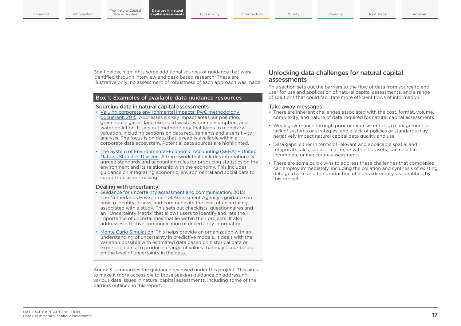Box 1 below, highlights some additional sources of guidance that were identified through interview and desk-based research. These are illustrative only; no assessment of robustness of each approach was made.

#### Box 1: Examples of available data guidance resources

#### Sourcing data in natural capital assessments

- [Valuing corporate environmental impacts: PwC methodology](https://www.pwc.co.uk/sustainability-climate-change/assets/pdf/pwc-environmental-valuation-methodologies.pdf)  [document, 2015](https://www.pwc.co.uk/sustainability-climate-change/assets/pdf/pwc-environmental-valuation-methodologies.pdf): Addresses six key impact areas: air pollution, greenhouse gases, land use, solid waste, water consumption, and water pollution. It sets out methodology that leads to monetary valuation, including sections on data requirements and a sensitivity analysis. The focus is on data that is readily available within a corporate data ecosystem. Potential data sources are highlighted.
- [The System of Environmental-Economic Accounting \(SEEA\) United](https://seea.un.org/)  [Nations Statistics Division:](https://seea.un.org/) A framework that includes internationally agreed standards and accounting rules for producing statistics on the environment and its relationship with the economy. This includes guidance on integrating economic, environmental and social data to support decision-making.

#### Dealing with uncertainty

- [Guidance for uncertainty assessment and communication, 2013](http://www.pbl.nl/sites/default/files/cms/publicaties/PBL_2013_Guidance-for-uncertainty-assessment-and-communication_712.pdf): The Netherlands Environmental Assessment Agency's guidance on how to identify, assess, and communicate the level of uncertainty associated with a study. This sets out checklists, questionnaires and an 'Uncertainty Matrix' that allows users to identify and rate the importance of uncertainties that lie within their projects. It also addresses effective communication of uncertainty information.
- [Monte Carlo Simulation:](https://www.palisade.com/risk/monte_carlo_simulation.asp) This helps provide an organization with an understanding of uncertainty in predictive models. It deals with the variation possible with estimated data based on historical data or expert opinions, to produce a range of values that may occur based on the level of uncertainty in the data.

Annex 3 summarizes the guidance reviewed under this project. This aims to make it more accessible to those seeking guidance on addressing various data issues in natural capital assessments, including some of the barriers outlined in this report.

#### Unlocking data challenges for natural capital assessments

This section sets out the barriers to the flow of data from source to end user for use and application of natural capital assessments, and a range of solutions that could facilitate more efficient flows of information.

#### Take away messages

- There are inherent challenges associated with the cost, format, volume, complexity, and nature of data required for natural capital assessments.
- Weak governance through poor or inconsistent data management, a lack of systems or strategies, and a lack of policies or standards may negatively impact natural capital data quality and use.
- Data gaps, either in terms of relevant and applicable spatial and temporal scales, subject matter, or within datasets, can result in incomplete or inaccurate assessments.
- There are some quick wins to address these challenges that companies can employ immediately, including the collation and synthesis of existing data guidance and the production of a data directory, as identified by this project.

17 NATURAL CAPITAL COALITION Data use in natural capital assessments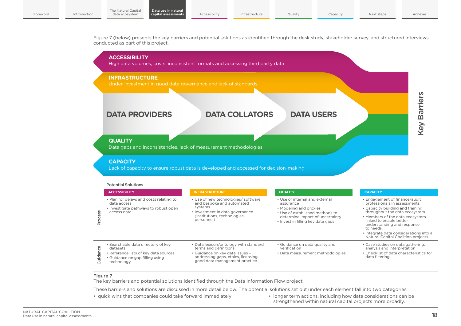Figure 7 (below) presents the key barriers and potential solutions as identified through the desk study, stakeholder survey, and structured interviews conducted as part of this project.



#### Figure 7

The key barriers and potential solutions identified through the Data Information Flow project.

These barriers and solutions are discussed in more detail below. The potential solutions set out under each element fall into two categories:

- 
- quick wins that companies could take forward immediately; longer term actions, including how data considerations can be strengthened within natural capital projects more broadly.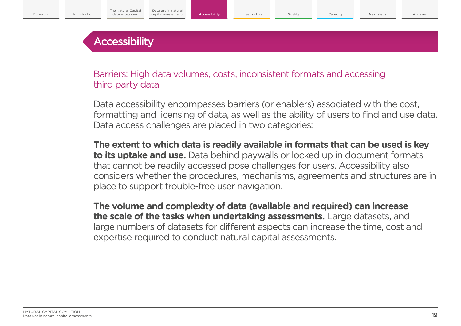## **Accessibility**

Barriers: High data volumes, costs, inconsistent formats and accessing third party data

Data accessibility encompasses barriers (or enablers) associated with the cost, formatting and licensing of data, as well as the ability of users to find and use data. Data access challenges are placed in two categories:

**The extent to which data is readily available in formats that can be used is key to its uptake and use.** Data behind paywalls or locked up in document formats that cannot be readily accessed pose challenges for users. Accessibility also considers whether the procedures, mechanisms, agreements and structures are in place to support trouble-free user navigation.

**The volume and complexity of data (available and required) can increase the scale of the tasks when undertaking assessments.** Large datasets, and large numbers of datasets for different aspects can increase the time, cost and expertise required to conduct natural capital assessments.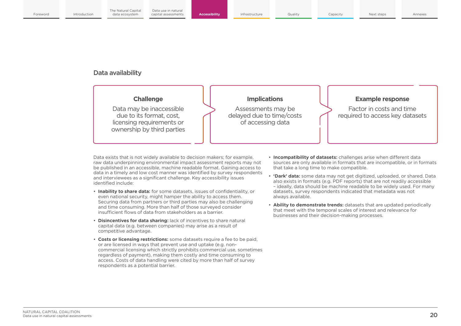## Data availability



Data exists that is not widely available to decision makers; for example, raw data underpinning environmental impact assessment reports may not be published in an accessible, machine readable format. Gaining access to data in a timely and low cost manner was identified by survey respondents and interviewees as a significant challenge. Key accessibility issues identified include:

- **Inability to share data:** for some datasets, issues of confidentiality, or even national security, might hamper the ability to access them. Securing data from partners or third parties may also be challenging and time consuming. More than half of those surveyed consider insufficient flows of data from stakeholders as a barrier.
- **Disincentives for data sharing:** lack of incentives to share natural capital data (e.g. between companies) may arise as a result of competitive advantage.
- **Costs or licensing restrictions:** some datasets require a fee to be paid, or are licensed in ways that prevent use and uptake (e.g. noncommercial licensing which strictly prohibits commercial use, sometimes regardless of payment), making them costly and time consuming to access. Costs of data handling were cited by more than half of survey respondents as a potential barrier.
- **Incompatibility of datasets:** challenges arise when different data sources are only available in formats that are incompatible, or in formats that take a long time to make compatible.
- **'Dark' data:** some data may not get digitized, uploaded, or shared. Data also exists in formats (e.g. PDF reports) that are not readily accessible – ideally, data should be machine readable to be widely used. For many datasets, survey respondents indicated that metadata was not always available.
- **Ability to demonstrate trends:** datasets that are updated periodically that meet with the temporal scales of interest and relevance for businesses and their decision-making processes.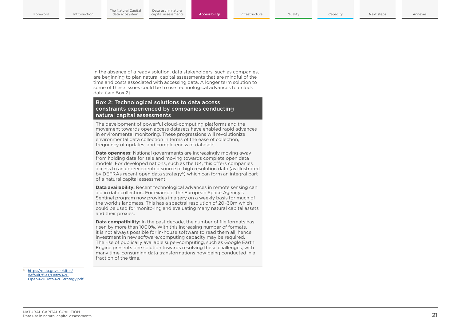In the absence of a ready solution, data stakeholders, such as companies, are beginning to plan natural capital assessments that are mindful of the time and costs associated with accessing data. A longer term solution to some of these issues could be to use technological advances to unlock data (see Box 2).

#### Box 2: Technological solutions to data access constraints experienced by companies conducting natural capital assessments

The development of powerful cloud-computing platforms and the movement towards open access datasets have enabled rapid advances in environmental monitoring. These progressions will revolutionize environmental data collection in terms of the ease of collection, frequency of updates, and completeness of datasets.

**Data openness:** National governments are increasingly moving away from holding data for sale and moving towards complete open data models. For developed nations, such as the UK, this offers companies access to an unprecedented source of high resolution data (as illustrated by DEFRAs recent open data strategy<sup>6</sup>) which can form an integral part of a natural capital assessment.

**Data availability:** Recent technological advances in remote sensing can aid in data collection. For example, the European Space Agency's Sentinel program now provides imagery on a weekly basis for much of the world's landmass. This has a spectral resolution of 20–30m which could be used for monitoring and evaluating many natural capital assets and their proxies.

**Data compatibility:** In the past decade, the number of file formats has risen by more than 1000%. With this increasing number of formats, it is not always possible for in-house software to read them all, hence investment in new software/computing capacity may be required. The rise of publically available super-computing, such as Google Earth Engine presents one solution towards resolving these challenges, with many time-consuming data transformations now being conducted in a fraction of the time.

[https://data.gov.uk/sites/](https://www.gov.uk/government/publications/defra-open-data-strategy) [default/files/Defra%20](https://www.gov.uk/government/publications/defra-open-data-strategy) [Open%20Data%20Strategy.pdf](https://www.gov.uk/government/publications/defra-open-data-strategy)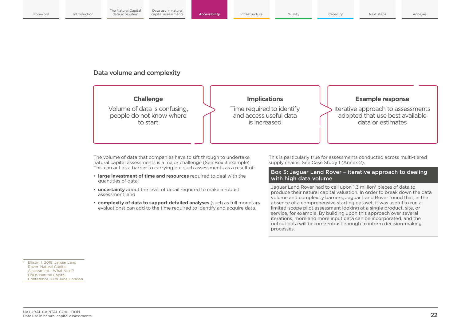## Data volume and complexity



The volume of data that companies have to sift through to undertake natural capital assessments is a major challenge (See Box 3 example). This can act as a barrier to carrying out such assessments as a result of:

- **large investment of time and resources** required to deal with the quantities of data;
- **uncertainty** about the level of detail required to make a robust assessment; and
- **complexity of data to support detailed analyses** (such as full monetary evaluations) can add to the time required to identify and acquire data.

This is particularly true for assessments conducted across multi-tiered supply chains. See Case Study 1 (Annex 2).

#### Box 3: Jaguar Land Rover – iterative approach to dealing with high data volume

Jaguar Land Rover had to call upon 1.3 million7 pieces of data to produce their natural capital valuation. In order to break down the data volume and complexity barriers, Jaguar Land Rover found that, in the absence of a comprehensive starting dataset, it was useful to run a limited-scope pilot assessment looking at a single product, site, or service, for example. By building upon this approach over several iterations, more and more input data can be incorporated, and the output data will become robust enough to inform decision-making processes.

Ellison, I. 2018. Jaguar Land Rover: Natural Capital Assessment – What Next? ENDS Natural Capital Conference, 27th June, London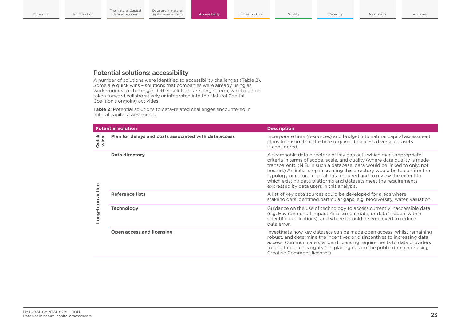## Potential solutions: accessibility

A number of solutions were identified to accessibility challenges (Table 2). Some are quick wins – solutions that companies were already using as workarounds to challenges. Other solutions are longer term, which can be taken forward collaboratively or integrated into the Natural Capital Coalition's ongoing activities.

**Table 2:** Potential solutions to data-related challenges encountered in natural capital assessments.

|                      | <b>Potential solution</b>                             | <b>Description</b>                                                                                                                                                                                                                                                                                                                                                                                                                                                                                     |  |  |  |
|----------------------|-------------------------------------------------------|--------------------------------------------------------------------------------------------------------------------------------------------------------------------------------------------------------------------------------------------------------------------------------------------------------------------------------------------------------------------------------------------------------------------------------------------------------------------------------------------------------|--|--|--|
| <b>Quick</b><br>wins | Plan for delays and costs associated with data access | Incorporate time (resources) and budget into natural capital assessment<br>plans to ensure that the time required to access diverse datasets<br>is considered.                                                                                                                                                                                                                                                                                                                                         |  |  |  |
|                      | <b>Data directory</b>                                 | A searchable data directory of key datasets which meet appropriate<br>criteria in terms of scope, scale, and quality (where data quality is made<br>transparent). (N.B. in such a database, data would be linked to only, not<br>hosted.) An initial step in creating this directory would be to confirm the<br>typology of natural capital data required and to review the extent to<br>which existing data platforms and datasets meet the requirements<br>expressed by data users in this analysis. |  |  |  |
|                      | <b>Reference lists</b>                                | A list of key data sources could be developed for areas where<br>stakeholders identified particular gaps, e.g. biodiversity, water, valuation.                                                                                                                                                                                                                                                                                                                                                         |  |  |  |
| Long-term action     | <b>Technology</b>                                     | Guidance on the use of technology to access currently inaccessible data<br>(e.g. Environmental Impact Assessment data, or data 'hidden' within<br>scientific publications), and where it could be employed to reduce<br>data error.                                                                                                                                                                                                                                                                    |  |  |  |
|                      | Open access and licensing                             | Investigate how key datasets can be made open access, whilst remaining<br>robust, and determine the incentives or disincentives to increasing data<br>access. Communicate standard licensing requirements to data providers<br>to facilitate access rights (i.e. placing data in the public domain or using<br>Creative Commons licenses).                                                                                                                                                             |  |  |  |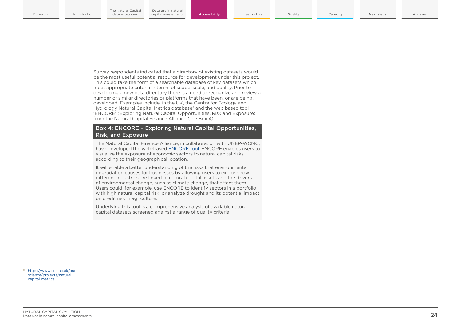Survey respondents indicated that a directory of existing datasets would be the most useful potential resource for development under this project. This could take the form of a searchable database of key datasets which meet appropriate criteria in terms of scope, scale, and quality. Prior to developing a new data directory there is a need to recognize and review a number of similar directories or platforms that have been, or are being, developed. Examples include, in the UK, the Centre for Ecology and Hydrology Natural Capital Metrics database<sup>8</sup> and the web based tool 'ENCORE' (Exploring Natural Capital Opportunities, Risk and Exposure) from the Natural Capital Finance Alliance (see Box 4).

#### Box 4: ENCORE – Exploring Natural Capital Opportunities, Risk, and Exposure

The Natural Capital Finance Alliance, in collaboration with UNEP-WCMC, have developed the web-based [ENCORE tool.](https://encore.naturalcapital.finance/) ENCORE enables users to visualize the exposure of economic sectors to natural capital risks according to their geographical location.

It will enable a better understanding of the risks that environmental degradation causes for businesses by allowing users to explore how different industries are linked to natural capital assets and the drivers of environmental change, such as climate change, that affect them. Users could, for example, use ENCORE to identify sectors in a portfolio with high natural capital risk, or analyze drought and its potential impact on credit risk in agriculture.

Underlying this tool is a comprehensive analysis of available natural capital datasets screened against a range of quality criteria.

[https://www.ceh.ac.uk/our](https://www.ceh.ac.uk/our-science/projects/natural-capital-metrics)[science/projects/natural](https://www.ceh.ac.uk/our-science/projects/natural-capital-metrics)[capital-metrics](https://www.ceh.ac.uk/our-science/projects/natural-capital-metrics)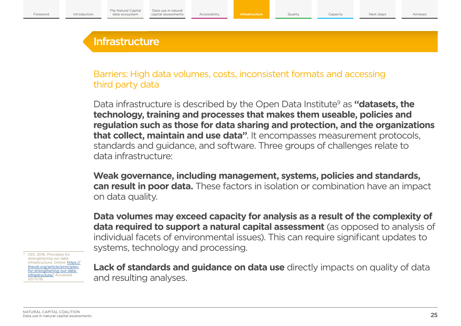## **Infrastructure**

Barriers: High data volumes, costs, inconsistent formats and accessing third party data

Data infrastructure is described by the Open Data Institute<sup>9</sup> as "**datasets, the technology, training and processes that makes them useable, policies and regulation such as those for data sharing and protection, and the organizations that collect, maintain and use data"**. It encompasses measurement protocols, standards and guidance, and software. Three groups of challenges relate to data infrastructure:

**Weak governance, including management, systems, policies and standards, can result in poor data.** These factors in isolation or combination have an impact on data quality.

**Data volumes may exceed capacity for analysis as a result of the complexity of data required to support a natural capital assessment** (as opposed to analysis of individual facets of environmental issues). This can require significant updates to systems, technology and processing.

9 ODI. 2016. Principles for strengthening our data infrastructure. Online: [https://](https://encore.naturalcapital.finance/) [theodi.org/article/principles](https://encore.naturalcapital.finance/)[for-strengthening-our-data](https://encore.naturalcapital.finance/)[infrastructure/.](https://encore.naturalcapital.finance/) Accessed 20/11/18.

**Lack of standards and guidance on data use** directly impacts on quality of data and resulting analyses.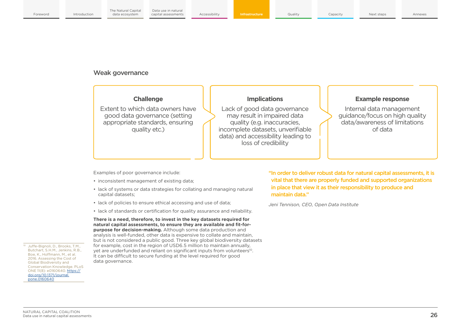## Weak governance

## **Challenge**

Extent to which data owners have good data governance (setting appropriate standards, ensuring quality etc.)

## **Implications**

Lack of good data governance may result in impaired data quality (e.g. inaccuracies, incomplete datasets, unverifiable data) and accessibility leading to loss of credibility

### **Example response**

Internal data management guidance/focus on high quality data/awareness of limitations of data

Examples of poor governance include:

- inconsistent management of existing data;
- lack of systems or data strategies for collating and managing natural capital datasets;
- lack of policies to ensure ethical accessing and use of data;
- lack of standards or certification for quality assurance and reliability.

**There is a need, therefore, to invest in the key datasets required for natural capital assessments, to ensure they are available and fit-forpurpose for decision-making.** Although some data production and analysis is well-funded, other data is expensive to collate and maintain, but is not considered a public good. Three key global biodiversity datasets for example, cost in the region of USD6.5 million to maintain annually, yet are underfunded and reliant on significant inputs from volunteers<sup>10</sup>. It can be difficult to secure funding at the level required for good data governance.

"In order to deliver robust data for natural capital assessments, it is vital that there are properly funded and supported organizations in place that view it as their responsibility to produce and maintain data."

*Jeni Tennison, CEO, Open Data Institute*

10 Juffe-Bignoli, D., Brooks, T.M., Butchart, S.H.M., Jenkins, R.B., Boe, K., Hoffmann, M., et al. 2016. Assessing the Cost of Global Biodiversity and Conservation Knowledge. PLoS ONE 11(8): e0160640. [https://](https://doi.org/10.1371/journal.pone.0160640) [doi.org/10.1371/journal.](https://doi.org/10.1371/journal.pone.0160640) [pone.0160640](https://doi.org/10.1371/journal.pone.0160640)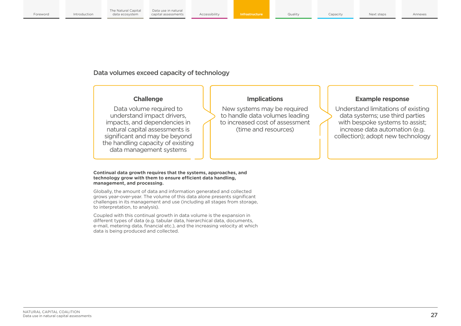## Data volumes exceed capacity of technology

## **Challenge**

Data volume required to understand impact drivers, impacts, and dependencies in natural capital assessments is significant and may be beyond the handling capacity of existing data management systems

#### **Continual data growth requires that the systems, approaches, and technology grow with them to ensure efficient data handling, management, and processing.**

Globally, the amount of data and information generated and collected grows year-over-year. The volume of this data alone presents significant challenges in its management and use (including all stages from storage, to interpretation, to analysis).

Coupled with this continual growth in data volume is the expansion in different types of data (e.g. tabular data, hierarchical data, documents, e-mail, metering data, financial etc.), and the increasing velocity at which data is being produced and collected.

## **Implications**

New systems may be required to handle data volumes leading to increased cost of assessment (time and resources)

## **Example response**

Understand limitations of existing data systems; use third parties with bespoke systems to assist; increase data automation (e.g. collection); adopt new technology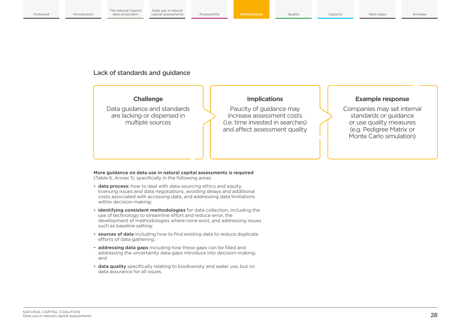## Lack of standards and guidance

## **Challenge**

Data guidance and standards are lacking or dispersed in multiple sources

## **Implications**

Paucity of guidance may increase assessment costs (i.e. time invested in searches) and affect assessment quality

## **Example response**

Companies may set internal standards or guidance or use quality measures (e.g. Pedigree Matrix or Monte Carlo simulation)

**More guidance on data use in natural capital assessments is required** (Table 6, Annex 1); specifically in the following areas:

- **data process:** how to deal with data-sourcing ethics and equity, licensing issues and data negotiations, avoiding delays and additional costs associated with accessing data, and addressing data limitations within decision-making;
- **identifying consistent methodologies** for data collection, including the use of technology to streamline effort and reduce error, the development of methodologies where none exist, and addressing issues such as baseline setting;
- **sources of data** including how to find existing data to reduce duplicate efforts of data gathering;
- **addressing data gaps** including how these gaps can be filled and addressing the uncertainty data gaps introduce into decision-making; and
- **data quality** specifically relating to biodiversity and water use, but on data assurance for all issues.

NATURAL CAPITAL COALITION<br>Data use in natural capital assessments **28 NATURAL COALITION CONTROL** Data use in natural capital assessments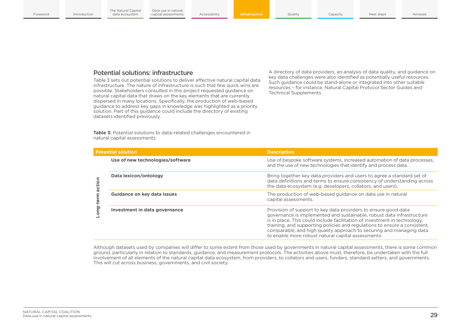## Potential solutions: infrastructure

Table 3 sets out potential solutions to deliver effective natural capital data infrastructure. The nature of infrastructure is such that few quick wins are possible. Stakeholders consulted in this project requested guidance on natural capital data that draws on the key elements that are currently dispersed in many locations. Specifically, the production of web-based guidance to address key gaps in knowledge was highlighted as a priority solution. Part of this quidance could include the directory of existing datasets identified previously.

A directory of data providers, an analysis of data quality, and guidance on key data challenges were also identified as potentially useful resources. Such guidance could be stand-alone or integrated into other suitable resources – for instance, Natural Capital Protocol Sector Guides and Technical Supplements.

**Table 3:** Potential solutions to data-related challenges encountered in natural capital assessments.

|        | <b>Potential solution</b>        | <b>Description</b>                                                                                                                                                                                                                                                                                                                                                                                                             |  |  |
|--------|----------------------------------|--------------------------------------------------------------------------------------------------------------------------------------------------------------------------------------------------------------------------------------------------------------------------------------------------------------------------------------------------------------------------------------------------------------------------------|--|--|
|        | Use of new technologies/software | Use of bespoke software systems, increased automation of data processes,<br>and the use of new technologies that identify and process data.                                                                                                                                                                                                                                                                                    |  |  |
| action | Data lexicon/ontology            | Bring together key data providers and users to agree a standard set of<br>data definitions and terms to ensure consistency of understanding across<br>the data ecosystem (e.g. developers, collators, and users).                                                                                                                                                                                                              |  |  |
|        | Guidance on key data issues      | The production of web-based guidance on data use in natural<br>capital assessments.                                                                                                                                                                                                                                                                                                                                            |  |  |
| puo-   | Investment in data governance    | Provision of support to key data providers to ensure good data<br>governance is implemented and sustainable, robust data infrastructure<br>is in place. This could include facilitation of investment in technology,<br>training, and supporting policies and regulations to ensure a consistent,<br>comparable, and high quality approach to securing and managing data<br>to enable more robust natural capital assessments. |  |  |

Although datasets used by companies will differ to some extent from those used by governments in natural capital assessments, there is some common ground, particularly in relation to standards, guidance, and measurement protocols. The activities above must, therefore, be undertaken with the full involvement of all elements of the natural capital data ecosystem, from providers, to collators and users, funders, standard setters, and governments. This will cut across business, governments, and civil society.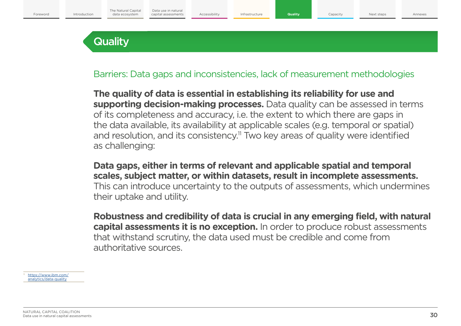## **Quality**

Barriers: Data gaps and inconsistencies, lack of measurement methodologies

**The quality of data is essential in establishing its reliability for use and supporting decision-making processes.** Data quality can be assessed in terms of its completeness and accuracy, i.e. the extent to which there are gaps in the data available, its availability at applicable scales (e.g. temporal or spatial) and resolution, and its consistency.<sup>11</sup> Two key areas of quality were identified as challenging:

**Data gaps, either in terms of relevant and applicable spatial and temporal scales, subject matter, or within datasets, result in incomplete assessments.** This can introduce uncertainty to the outputs of assessments, which undermines their uptake and utility.

**Robustness and credibility of data is crucial in any emerging field, with natural capital assessments it is no exception.** In order to produce robust assessments that withstand scrutiny, the data used must be credible and come from authoritative sources.

[https://www.ibm.com/](https://www.ibm.com/analytics/data-quality) [analytics/data-quality](https://www.ibm.com/analytics/data-quality)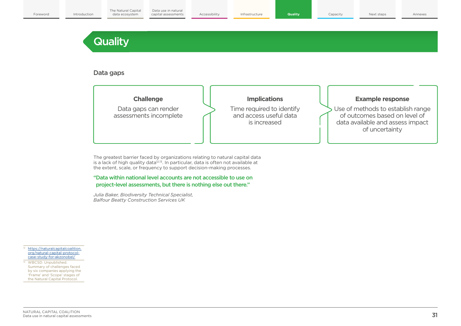## **Quality**

## Data gaps



The greatest barrier faced by organizations relating to natural capital data is a lack of high quality data<sup>12,13</sup>. In particular, data is often not available at the extent, scale, or frequency to support decision-making processes.

"Data within national level accounts are not accessible to use on project-level assessments, but there is nothing else out there."

*Julia Baker, Biodiversity Technical Specialist, Balfour Beatty Construction Services UK*

12 [https://naturalcapitalcoalition.](https://naturalcapitalcoalition.org/natural-capital-protocol-case-study-for-akzonobel/) [org/natural-capital-protocol](https://naturalcapitalcoalition.org/natural-capital-protocol-case-study-for-akzonobel/)[case-study-for-akzonobel/](https://naturalcapitalcoalition.org/natural-capital-protocol-case-study-for-akzonobel/)

<sup>13</sup> WBCSD. Unpublished. Summary of challenges faced by six companies applying the 'Frame' and 'Scope' stages of the Natural Capital Protocol.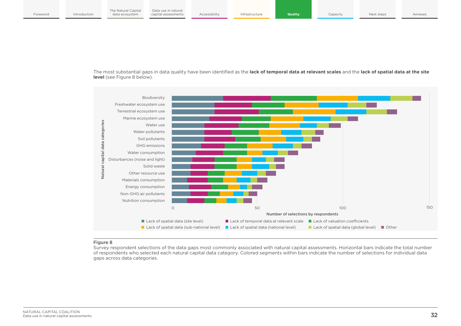The most substantial gaps in data quality have been identified as the **lack of temporal data at relevant scales** and the **lack of spatial data at the site level** (see Figure 8 below).



#### Figure 8

Survey respondent selections of the data gaps most commonly associated with natural capital assessments. Horizontal bars indicate the total number of respondents who selected each natural capital data category. Colored segments within bars indicate the number of selections for individual data gaps across data categories.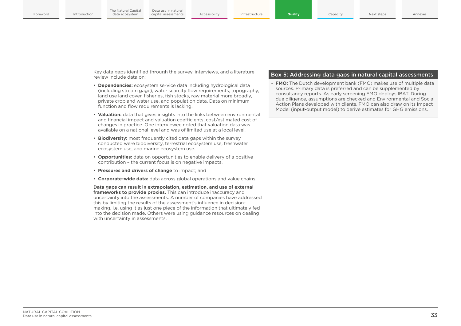Key data gaps identified through the survey, interviews, and a literature review include data on:

- **Dependencies:** ecosystem service data including hydrological data (including stream gage), water scarcity flow requirements, topography, land use land cover, fisheries, fish stocks, raw material more broadly, private crop and water use, and population data. Data on minimum function and flow requirements is lacking.
- **Valuation:** data that gives insights into the links between environmental and financial impact and valuation coefficients, cost/estimated cost of changes in practice. One interviewee noted that valuation data was available on a national level and was of limited use at a local level.
- **Biodiversity:** most frequently cited data gaps within the survey conducted were biodiversity, terrestrial ecosystem use, freshwater ecosystem use, and marine ecosystem use.
- **Opportunities:** data on opportunities to enable delivery of a positive contribution – the current focus is on negative impacts.
- **Pressures and drivers of change** to impact; and
- **Corporate-wide data:** data across global operations and value chains.

**Data gaps can result in extrapolation, estimation, and use of external frameworks to provide proxies.** This can introduce inaccuracy and uncertainty into the assessments. A number of companies have addressed this by limiting the results of the assessment's influence in decisionmaking, i.e. using it as just one piece of the information that ultimately fed into the decision made. Others were using guidance resources on dealing with uncertainty in assessments.

#### Box 5: Addressing data gaps in natural capital assessments

**FMO:** The Dutch development bank (FMO) makes use of multiple data sources. Primary data is preferred and can be supplemented by consultancy reports. As early screening FMO deploys IBAT. During due diligence, assumptions are checked and Environmental and Social Action Plans developed with clients. FMO can also draw on its Impact Model (input-output model) to derive estimates for GHG emissions.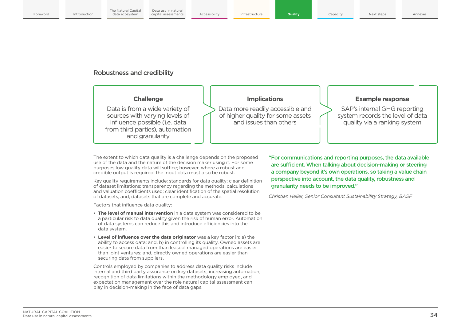## Robustness and credibility

## **Challenge**

Data is from a wide variety of sources with varying levels of influence possible (i.e. data from third parties), automation and granularity

## **Implications**

Data more readily accessible and of higher quality for some assets and issues than others

### **Example response**

SAP's internal GHG reporting system records the level of data quality via a ranking system

The extent to which data quality is a challenge depends on the proposed use of the data and the nature of the decision maker using it. For some purposes low quality data will suffice; however, where a robust and credible output is required, the input data must also be robust.

Key quality requirements include: standards for data quality; clear definition of dataset limitations; transparency regarding the methods, calculations and valuation coefficients used; clear identification of the spatial resolution of datasets; and, datasets that are complete and accurate.

Factors that influence data quality:

- **The level of manual intervention** in a data system was considered to be a particular risk to data quality given the risk of human error. Automation of data systems can reduce this and introduce efficiencies into the data system.
- **Level of influence over the data originator** was a key factor in: a) the ability to access data; and, b) in controlling its quality. Owned assets are easier to secure data from than leased; managed operations are easier than ioint ventures; and, directly owned operations are easier than securing data from suppliers.

Controls employed by companies to address data quality risks include internal and third party assurance on key datasets, increasing automation, recognition of data limitations within the methodology employed, and expectation management over the role natural capital assessment can play in decision-making in the face of data gaps.

"For communications and reporting purposes, the data available are sufficient. When talking about decision-making or steering a company beyond it's own operations, so taking a value chain perspective into account, the data quality, robustness and granularity needs to be improved."

*Christian Heller, Senior Consultant Sustainability Strategy, BASF*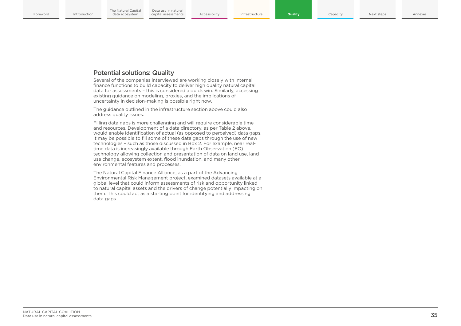## Potential solutions: Quality

Several of the companies interviewed are working closely with internal finance functions to build capacity to deliver high quality natural capital data for assessments – this is considered a quick win. Similarly, accessing existing guidance on modeling, proxies, and the implications of uncertainty in decision-making is possible right now.

The guidance outlined in the infrastructure section above could also address quality issues.

Filling data gaps is more challenging and will require considerable time and resources. Development of a data directory, as per Table 2 above, would enable identification of actual (as opposed to perceived) data gaps. It may be possible to fill some of these data gaps through the use of new technologies – such as those discussed in Box 2. For example, near realtime data is increasingly available through Earth Observation (EO) technology allowing collection and presentation of data on land use, land use change, ecosystem extent, flood inundation, and many other environmental features and processes.

The Natural Capital Finance Alliance, as a part of the Advancing Environmental Risk Management project, examined datasets available at a global level that could inform assessments of risk and opportunity linked to natural capital assets and the drivers of change potentially impacting on them. This could act as a starting point for identifying and addressing data gaps.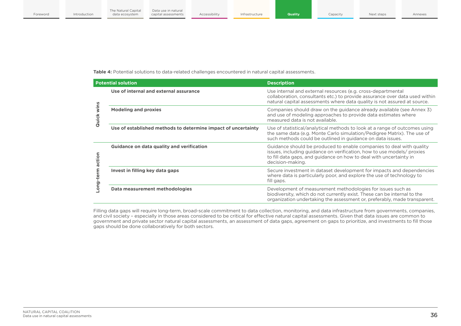**Table 4:** Potential solutions to data-related challenges encountered in natural capital assessments.

|               | <b>Potential solution</b>                                     | <b>Description</b>                                                                                                                                                                                                                       |  |  |  |
|---------------|---------------------------------------------------------------|------------------------------------------------------------------------------------------------------------------------------------------------------------------------------------------------------------------------------------------|--|--|--|
|               | Use of internal and external assurance                        | Use internal and external resources (e.g. cross-departmental<br>collaboration, consultants etc.) to provide assurance over data used within<br>natural capital assessments where data quality is not assured at source.                  |  |  |  |
| wins<br>Quick | <b>Modeling and proxies</b>                                   | Companies should draw on the guidance already available (see Annex 3)<br>and use of modeling approaches to provide data estimates where<br>measured data is not available.                                                               |  |  |  |
|               | Use of established methods to determine impact of uncertainty | Use of statistical/analytical methods to look at a range of outcomes using<br>the same data (e.g. Monte Carlo simulation/Pedigree Matrix). The use of<br>such methods could be outlined in guidance on data issues.                      |  |  |  |
| action        | <b>Guidance on data quality and verification</b>              | Guidance should be produced to enable companies to deal with quality<br>issues, including quidance on verification, how to use models/ proxies<br>to fill data gaps, and guidance on how to deal with uncertainty in<br>decision-making. |  |  |  |
| .ong-term     | Invest in filling key data gaps                               | Secure investment in dataset development for impacts and dependencies<br>where data is particularly poor, and explore the use of technology to<br>fill gaps.                                                                             |  |  |  |
|               | Data measurement methodologies                                | Development of measurement methodologies for issues such as<br>biodiversity, which do not currently exist. These can be internal to the<br>organization undertaking the assessment or, preferably, made transparent.                     |  |  |  |

Filling data gaps will require long-term, broad-scale commitment to data collection, monitoring, and data infrastructure from governments, companies, and civil society – especially in those areas considered to be critical for effective natural capital assessments. Given that data issues are common to government and private sector natural capital assessments, an assessment of data gaps, agreement on gaps to prioritize, and investments to fill those gaps should be done collaboratively for both sectors.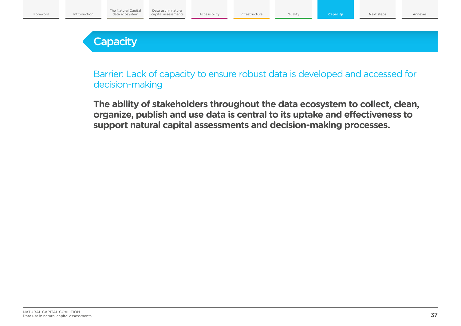## **Capacity**

Barrier: Lack of capacity to ensure robust data is developed and accessed for decision-making

**The ability of stakeholders throughout the data ecosystem to collect, clean, organize, publish and use data is central to its uptake and effectiveness to support natural capital assessments and decision-making processes.**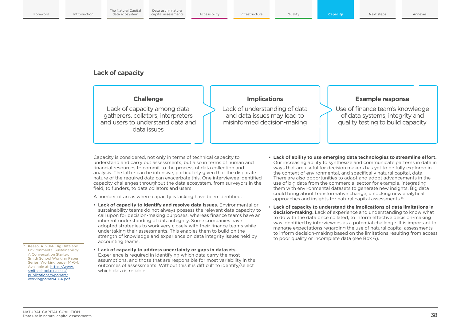## **Lack of capacity**

## **Challenge**

Lack of capacity among data gatherers, collators, interpreters and users to understand data and data issues

## **Implications**

Lack of understanding of data and data issues may lead to misinformed decision-making

## **Example response**

Use of finance team's knowledge of data systems, integrity and quality testing to build capacity

Capacity is considered, not only in terms of technical capacity to understand and carry out assessments, but also in terms of human and financial resources to commit to the process of data collection and analysis. The latter can be intensive, particularly given that the disparate nature of the required data can exacerbate this. One interviewee identified capacity challenges throughout the data ecosystem, from surveyors in the field, to funders, to data collators and users.

A number of areas where capacity is lacking have been identified:

- **Lack of capacity to identify and resolve data issues.** Environmental or sustainability teams do not always possess the relevant data capacity to call upon for decision-making purposes, whereas finance teams have an inherent understanding of data integrity. Some companies have adopted strategies to work very closely with their finance teams while undertaking their assessments. This enables them to build on the strength of knowledge and experience on data integrity issues held by accounting teams.
- <sup>14</sup> Keeso, A. 2014. Big Data and Environmental Sustainability: A Conversation Starter. Smith School Working Paper Series. Working paper 14-04. Available at: [https://www.](https://www.smithschool.ox.ac.uk/publications/wpapers/workingpaper14-04.pdf) [smithschool.ox.ac.uk/](https://www.smithschool.ox.ac.uk/publications/wpapers/workingpaper14-04.pdf) [publications/wpapers/](https://www.smithschool.ox.ac.uk/publications/wpapers/workingpaper14-04.pdf) [workingpaper14-04.pdf](https://www.smithschool.ox.ac.uk/publications/wpapers/workingpaper14-04.pdf)
- **Lack of capacity to address uncertainty or gaps in datasets.** Experience is required in identifying which data carry the most assumptions, and those that are responsible for most variability in the outcomes of assessments. Without this it is difficult to identify/select which data is reliable.
- **Lack of ability to use emerging data technologies to streamline effort.** Our increasing ability to synthesize and communicate patterns in data in ways that are useful for decision makers has yet to be fully explored in the context of environmental, and specifically natural capital, data. There are also opportunities to adapt and adopt advancements in the use of big data from the commercial sector for example, integrating them with environmental datasets to generate new insights. Big data could bring about transformative change, unlocking new analytical approaches and insights for natural capital assessments.14
- **Lack of capacity to understand the implications of data limitations in decision-making.** Lack of experience and understanding to know what to do with the data once collated, to inform effective decision-making was identified by interviewees as a potential challenge. It is important to manage expectations regarding the use of natural capital assessments to inform decision-making based on the limitations resulting from access to poor quality or incomplete data (see Box 6).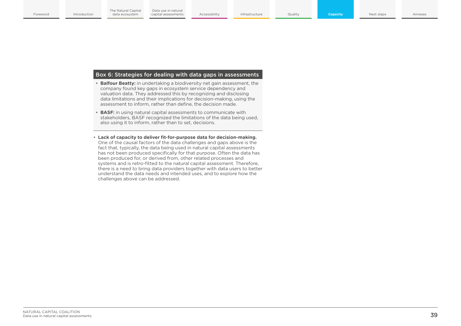#### Box 6: Strategies for dealing with data gaps in assessments

- **Balfour Beatty:** in undertaking a biodiversity net gain assessment, the company found key gaps in ecosystem service dependency and valuation data. They addressed this by recognizing and disclosing data limitations and their implications for decision-making, using the assessment to inform, rather than define, the decision made.
- **BASF:** in using natural capital assessments to communicate with stakeholders, BASF recognized the limitations of the data being used, also using it to inform, rather than to set, decisions.
- **Lack of capacity to deliver fit-for-purpose data for decision-making.** One of the causal factors of the data challenges and gaps above is the fact that, typically, the data being used in natural capital assessments has not been produced specifically for that purpose. Often the data has been produced for, or derived from, other related processes and systems and is retro-fitted to the natural capital assessment. Therefore, there is a need to bring data providers together with data users to better understand the data needs and intended uses, and to explore how the challenges above can be addressed.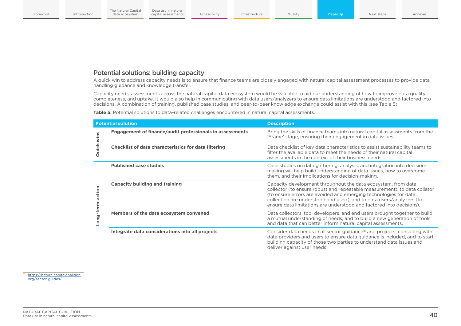## Potential solutions: building capacity

A quick win to address capacity needs is to ensure that finance teams are closely engaged with natural capital assessment processes to provide data handling guidance and knowledge transfer.

Capacity needs' assessments across the natural capital data ecosystem would be valuable to aid our understanding of how to improve data quality, completeness, and uptake. It would also help in communicating with data users/analyzers to ensure data limitations are understood and factored into decisions. A combination of training, published case studies, and peer-to-peer knowledge exchange could assist with this (see Table 5).

|                  | <b>Potential solution</b>                                       | <b>Description</b>                                                                                                                                                                                                                                                                                                                                             |  |  |  |
|------------------|-----------------------------------------------------------------|----------------------------------------------------------------------------------------------------------------------------------------------------------------------------------------------------------------------------------------------------------------------------------------------------------------------------------------------------------------|--|--|--|
|                  | <b>Engagement of finance/audit professionals in assessments</b> | Bring the skills of finance teams into natural capital assessments from the<br>'Frame' stage, ensuring their engagement in data issues.                                                                                                                                                                                                                        |  |  |  |
| Quick wins       | <b>Checklist of data characteristics for data filtering</b>     | Data checklist of key data characteristics to assist sustainability teams to<br>filter the available data to meet the needs of their natural capital<br>assessments in the context of their business needs.                                                                                                                                                    |  |  |  |
|                  | <b>Published case studies</b>                                   | Case studies on data gathering, analysis, and integration into decision-<br>making will help build understanding of data issues, how to overcome<br>them, and their implications for decision-making.                                                                                                                                                          |  |  |  |
| Long-term action | <b>Capacity building and training</b>                           | Capacity development throughout the data ecosystem, from data<br>collector (to ensure robust and repeatable measurement), to data collator<br>(to ensure errors are avoided and emerging technologies for data<br>collection are understood and used), and to data users/analyzers (to<br>ensure data limitations are understood and factored into decisions). |  |  |  |
|                  | Members of the data ecosystem convened                          | Data collectors, tool developers, and end users brought together to build<br>a mutual understanding of needs, and to build a new generation of tools<br>and data that can better inform natural capital assessments.                                                                                                                                           |  |  |  |
|                  | Integrate data considerations into all projects                 | Consider data needs in all sector guidance <sup>15</sup> and projects, consulting with<br>data providers and users to ensure data guidance is included, and to start<br>building capacity of those two parties to understand data issues and<br>deliver against user needs.                                                                                    |  |  |  |

**Table 5:** Potential solutions to data-related challenges encountered in natural capital assessments.

15 [https://naturalcapitalcoalition.](https://naturalcapitalcoalition.org/sector-guides/) [org/sector-guides/](https://naturalcapitalcoalition.org/sector-guides/)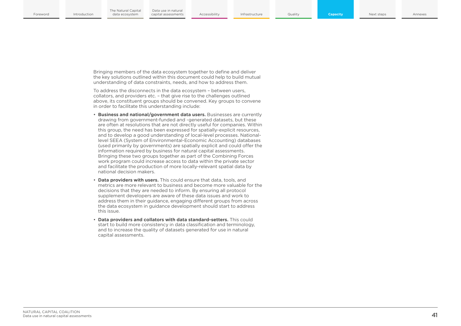Bringing members of the data ecosystem together to define and deliver the key solutions outlined within this document could help to build mutual understanding of data constraints, needs, and how to address them.

To address the disconnects in the data ecosystem – between users, collators, and providers etc. – that give rise to the challenges outlined above, its constituent groups should be convened. Key groups to convene in order to facilitate this understanding include:

- **Business and national/government data users.** Businesses are currently drawing from government-funded and -generated datasets, but these are often at resolutions that are not directly useful for companies. Within this group, the need has been expressed for spatially-explicit resources, and to develop a good understanding of local-level processes. Nationallevel SEEA (System of Environmental-Economic Accounting) databases (used primarily by governments) are spatially explicit and could offer the information required by business for natural capital assessments. Bringing these two groups together as part of the Combining Forces work program could increase access to data within the private sector and facilitate the production of more locally-relevant spatial data by national decision makers.
- **Data providers with users.** This could ensure that data, tools, and metrics are more relevant to business and become more valuable for the decisions that they are needed to inform. By ensuring all protocol supplement developers are aware of these data issues and work to address them in their guidance, engaging different groups from across the data ecosystem in guidance development should start to address this issue.
- **Data providers and collators with data standard-setters.** This could start to build more consistency in data classification and terminology, and to increase the quality of datasets generated for use in natural capital assessments.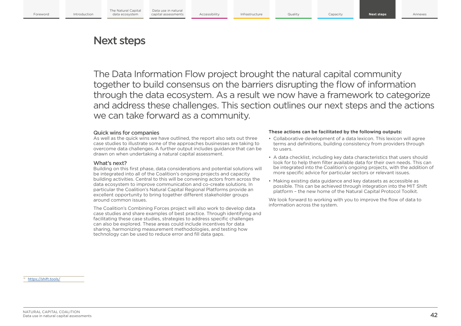## Next steps

The Data Information Flow project brought the natural capital community together to build consensus on the barriers disrupting the flow of information through the data ecosystem. As a result we now have a framework to categorize and address these challenges. This section outlines our next steps and the actions we can take forward as a community.

#### Quick wins for companies

As well as the quick wins we have outlined, the report also sets out three case studies to illustrate some of the approaches businesses are taking to overcome data challenges. A further output includes guidance that can be drawn on when undertaking a natural capital assessment.

#### What's next?

Building on this first phase, data considerations and potential solutions will be integrated into all of the Coalition's ongoing projects and capacity building activities. Central to this will be convening actors from across the data ecosystem to improve communication and co-create solutions. In particular the Coalition's Natural Capital Regional Platforms provide an excellent opportunity to bring together different stakeholder groups around common issues.

The Coalition's Combining Forces project will also work to develop data case studies and share examples of best practice. Through identifying and facilitating these case studies, strategies to address specific challenges can also be explored. These areas could include incentives for data sharing, harmonizing measurement methodologies, and testing how technology can be used to reduce error and fill data gaps.

#### **These actions can be facilitated by the following outputs:**

- Collaborative development of a data lexicon. This lexicon will agree terms and definitions, building consistency from providers through to users.
- A data checklist, including key data characteristics that users should look for to help them filter available data for their own needs. This can be integrated into the Coalition's ongoing projects, with the addition of more specific advice for particular sectors or relevant issues.
- Making existing data guidance and key datasets as accessible as possible. This can be achieved through integration into the MIT Shift platform – the new home of the Natural Capital Protocol Toolkit.

We look forward to working with you to improve the flow of data to information across the system.

<https://shift.tools/>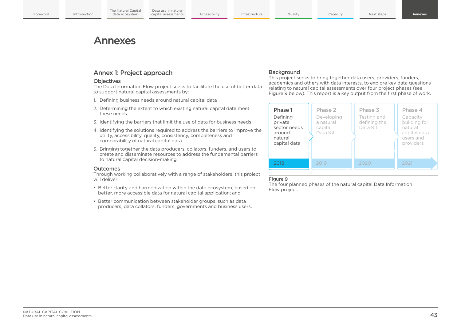## Annexes

## Annex 1: Project approach

#### **Objectives**

The Data Information Flow project seeks to facilitate the use of better data to support natural capital assessments by:

- 1. Defining business needs around natural capital data
- 2. Determining the extent to which existing natural capital data meet these needs
- 3. Identifying the barriers that limit the use of data for business needs
- 4. Identifying the solutions required to address the barriers to improve the utility, accessibility, quality, consistency, completeness and comparability of natural capital data
- 5. Bringing together the data producers, collators, funders, and users to create and disseminate resources to address the fundamental barriers to natural capital decision-making

#### **Outcomes**

Through working collaboratively with a range of stakeholders, this project will deliver:

- Better clarity and harmonization within the data ecosystem, based on better, more accessible data for natural capital application; and
- Better communication between stakeholder groups, such as data producers, data collators, funders, governments and business users.

#### **Background**

This project seeks to bring together data users, providers, funders, academics and others with data interests, to explore key data questions relating to natural capital assessments over four project phases (see Figure 9 below). This report is a key output from the first phase of work.



#### Figure 9

The four planned phases of the natural capital Data Information Flow project.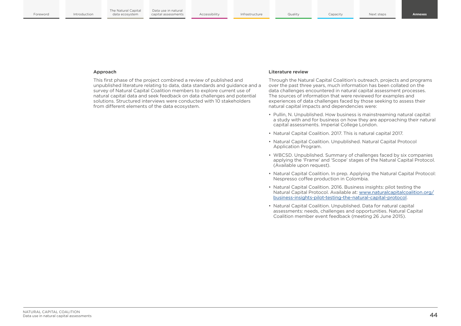#### **Approach**

This first phase of the project combined a review of published and unpublished literature relating to data, data standards and guidance and a survey of Natural Capital Coalition members to explore current use of natural capital data and seek feedback on data challenges and potential solutions. Structured interviews were conducted with 10 stakeholders from different elements of the data ecosystem.

#### **Literature review**

Through the Natural Capital Coalition's outreach, projects and programs over the past three years, much information has been collated on the data challenges encountered in natural capital assessment processes. The sources of information that were reviewed for examples and experiences of data challenges faced by those seeking to assess their natural capital impacts and dependencies were:

- Pullin, N. Unpublished. How business is mainstreaming natural capital: a study with and for business on how they are approaching their natural capital assessments. Imperial College London.
- Natural Capital Coalition. 2017. This is natural capital 2017.
- Natural Capital Coalition. Unpublished. Natural Capital Protocol Application Program.
- WBCSD. Unpublished. Summary of challenges faced by six companies applying the 'Frame' and 'Scope' stages of the Natural Capital Protocol. (Available upon request).
- Natural Capital Coalition. In prep. Applying the Natural Capital Protocol: Nespresso coffee production in Colombia.
- Natural Capital Coalition. 2016. Business insights: pilot testing the Natural Capital Protocol. Available at: [www.naturalcapitalcoalition.org/](http://www.naturalcapitalcoalition.org/business-insights-pilot-testing-the-natural-capital-protocol) [business-insights-pilot-testing-the-natural-capital-protocol.](http://www.naturalcapitalcoalition.org/business-insights-pilot-testing-the-natural-capital-protocol)
- Natural Capital Coalition. Unpublished. Data for natural capital assessments: needs, challenges and opportunities. Natural Capital Coalition member event feedback (meeting 26 June 2015).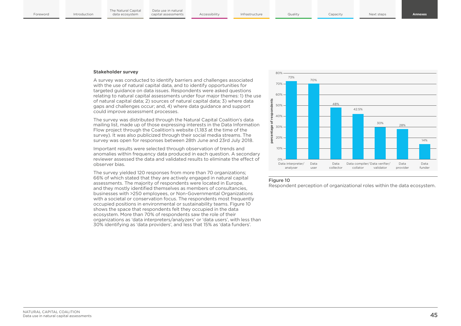#### **Stakeholder survey**

A survey was conducted to identify barriers and challenges associated with the use of natural capital data, and to identify opportunities for targeted guidance on data issues. Respondents were asked questions relating to natural capital assessments under four major themes: 1) the use of natural capital data; 2) sources of natural capital data; 3) where data gaps and challenges occur; and, 4) where data guidance and support could improve assessment processes.

The survey was distributed through the Natural Capital Coalition's data mailing list, made up of those expressing interests in the Data Information Flow project through the Coalition's website (1,183 at the time of the survey). It was also publicized through their social media streams. The survey was open for responses between 28th June and 23rd July 2018.

Important results were selected through observation of trends and anomalies within frequency data produced in each question. A secondary reviewer assessed the data and validated results to eliminate the effect of observer bias.

The survey yielded 120 responses from more than 70 organizations; 66% of which stated that they are actively engaged in natural capital assessments. The majority of respondents were located in Europe, and they mostly identified themselves as members of consultancies, businesses with >250 employees, or Non-Governmental Organizations with a societal or conservation focus. The respondents most frequently occupied positions in environmental or sustainability teams. Figure 10 shows the space that respondents felt they occupied in the data ecosystem. More than 70% of respondents saw the role of their organizations as 'data interpreters/analyzers' or 'data users', with less than 30% identifying as 'data providers', and less that 15% as 'data funders'.



#### Figure 10

Respondent perception of organizational roles within the data ecosystem.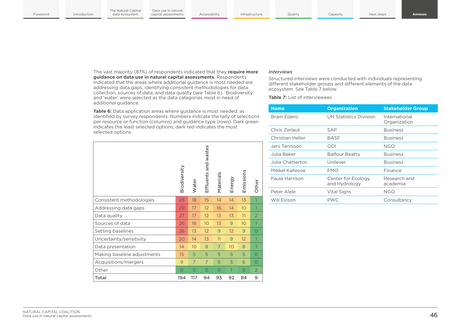The vast majority (87%) of respondents indicated that they **require more guidance on data use in natural capital assessments**. Respondents indicated that the areas where additional guidance is most needed are: addressing data gaps, identifying consistent methodologies for data collection, sources of data, and data quality (see Table 6). 'Biodiversity' and 'water' were selected as the data categories most in need of additional guidance.

**Table 6:** Data application areas where guidance is most needed, as identified by survey respondents. Numbers indicate the tally of selections per resource or function (columns) and guidance type (rows). Dark green indicates the least selected options; dark red indicates the most selected options.

|                             | Biodiversity | Water | Effluents and wastes | Materials | Energy | Emissions       | Other          |  |
|-----------------------------|--------------|-------|----------------------|-----------|--------|-----------------|----------------|--|
| Consistent methodologies    | 28           | 18    | 15                   | 14        | 14     | 13              | 1              |  |
| Addressing data gaps        | 29           | 17    | 12 <sup>2</sup>      | 16        | 14     | 10 <sup>°</sup> | 1              |  |
| Data quality                | 27           | 17    | 12                   | 13        | 13     | 11              | $\overline{2}$ |  |
| Sources of data             | 26           | 16    | 10 <sup>°</sup>      | 13        | 9      | 10 <sup>°</sup> | 1              |  |
| Setting baselines           | 26           | 13    | 12 <sup>2</sup>      | 9         | 12     | 9               | $\bigcirc$     |  |
| Uncertainty/sensitivity     | 20           | 14    | 13                   | 11        | 9      | 12 <sup>2</sup> | 1              |  |
| Data presentation           | 14           | 10    | 8                    | 7         | 10     | 8               | 1              |  |
| Making baseline adjustments | 15           | 5     | 5                    | 5         | 5      | 5               | $\circ$        |  |
|                             |              |       |                      |           |        |                 |                |  |

Acquisitions/mergers 9 7 7 5 5 6 0 Other 0 0 0 0 0 1 0 2 Total 194 117 94 93 92 84 9

#### *Interviews*

Structured interviews were conducted with individuals representing different stakeholder groups and different elements of the data ecosystem. See Table 7 below.

**Table 7:** List of interviewees

| <b>Name</b>       | <b>Organization</b>                 | <b>Stakeholder Group</b>      |
|-------------------|-------------------------------------|-------------------------------|
| <b>Bram Edens</b> | <b>UN Statistics Division</b>       | International<br>Organization |
| Chris Zerlaut     | SAP                                 | <b>Business</b>               |
| Christian Heller  | <b>BASF</b>                         | <b>Business</b>               |
| Jeni Tennison     | ODI                                 | NGO                           |
| Julia Baker       | <b>Balfour Beatty</b>               | <b>Business</b>               |
| Julia Chatterton. | Unilever                            | <b>Business</b>               |
| Mikkel Kallesoe   | FMO                                 | Finance                       |
| Paula Harrison    | Center for Ecology<br>and Hydrology | Research and<br>academia      |
| Peter Alele       | Vital Signs                         | NGO                           |
| Will Evison       | <b>PWC</b>                          | Consultancy                   |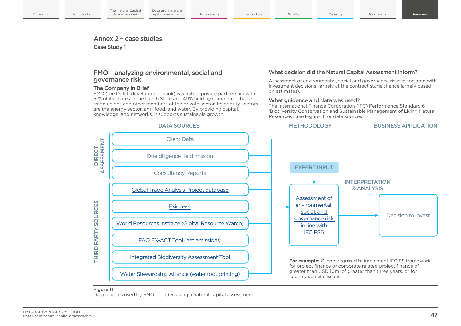### Annex 2 – case studies

Case Study 1

### FMO – analyzing environmental, social and governance risk

Data use in natural

#### The Company in Brief

FMO (the Dutch development bank) is a public-private partnership with 51% of its shares in the Dutch State and 49% held by commercial banks, trade unions and other members of the private sector. Its priority sectors are the energy sector, agri-food, and water. By providing capital, knowledge, and networks, it supports sustainable growth.

#### What decision did the Natural Capital Assessment inform?

Assessment of environmental, social and governance risks associated with investment decisions, largely at the contract stage (hence largely based on estimates).

#### What guidance and data was used?

The International Finance Corporation (IFC) Performance Standard 6 'Biodiversity Conservation and Sustainable Management of Living Natural Resources'. See Figure 11 for data sources.



#### Figure 11

Data sources used by FMO in undertaking a natural capital assessment.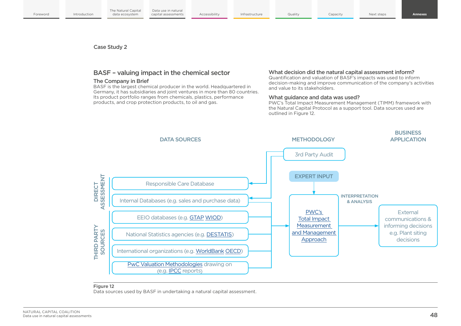Case Study 2

## BASF – valuing impact in the chemical sector

#### The Company in Brief

BASF is the largest chemical producer in the world. Headquartered in Germany, it has subsidiaries and joint ventures in more than 80 countries. Its product portfolio ranges from chemicals, plastics, performance products, and crop protection products, to oil and gas.

#### What decision did the natural capital assessment inform?

Quantification and valuation of BASF's impacts was used to inform decision-making and improve communication of the company's activities and value to its stakeholders.

### What guidance and data was used?

PWC's Total Impact Measurement Management (TIMM) framework with the Natural Capital Protocol as a support tool. Data sources used are outlined in Figure 12.



#### Figure 12

Data sources used by BASF in undertaking a natural capital assessment.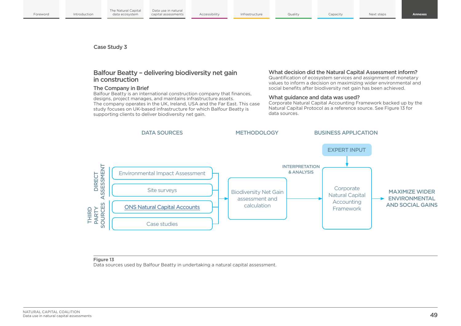Case Study 3

## Balfour Beatty – delivering biodiversity net gain in construction

#### The Company in Brief

Balfour Beatty is an international construction company that finances, designs, project manages, and maintains infrastructure assets. The company operates in the UK, Ireland, USA and the Far East. This case study focuses on UK-based infrastructure for which Balfour Beatty is supporting clients to deliver biodiversity net gain.

#### What decision did the Natural Capital Assessment inform?

Quantification of ecosystem services and assignment of monetary values to inform a decision on maximizing wider environmental and social benefits after biodiversity net gain has been achieved.

#### What guidance and data was used?

Corporate Natural Capital Accounting Framework backed up by the Natural Capital Protocol as a reference source. See Figure 13 for data sources.



#### Figure 13

Data sources used by Balfour Beatty in undertaking a natural capital assessment.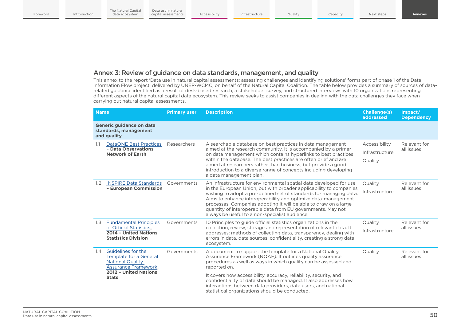## Annex 3: Review of guidance on data standards, management, and quality

This annex to the report 'Data use in natural capital assessments: assessing challenges and identifying solutions' forms part of phase 1 of the Data Information Flow project, delivered by UNEP-WCMC, on behalf of the Natural Capital Coalition. The table below provides a summary of sources of datarelated guidance identified as a result of desk-based research, a stakeholder survey, and structured interviews with 10 organizations representing different aspects of the natural capital data ecosystem. This review seeks to assist companies in dealing with the data challenges they face when carrying out natural capital assessments.

| <b>Name</b><br><b>Description</b><br><b>Primary user</b> |                                                                                                                                                 | <b>Challenge(s)</b><br>addressed | Impact/<br><b>Dependency</b>                                                                                                                                                                                                                                                                                                                                                                                                                                          |                                            |                            |
|----------------------------------------------------------|-------------------------------------------------------------------------------------------------------------------------------------------------|----------------------------------|-----------------------------------------------------------------------------------------------------------------------------------------------------------------------------------------------------------------------------------------------------------------------------------------------------------------------------------------------------------------------------------------------------------------------------------------------------------------------|--------------------------------------------|----------------------------|
|                                                          | Generic guidance on data<br>standards, management<br>and quality                                                                                |                                  |                                                                                                                                                                                                                                                                                                                                                                                                                                                                       |                                            |                            |
| 1.1                                                      | <b>DataONE Best Practices</b><br>- Data Observations<br><b>Network of Earth</b>                                                                 | Researchers                      | A searchable database on best practices in data management<br>aimed at the research community. It is accompanied by a primer<br>on data management which contains hyperlinks to best practices<br>within the database. The best practices are often brief and are<br>aimed at researchers rather than business, but provide a good<br>introduction to a diverse range of concepts including developing<br>a data management plan.                                     | Accessibility<br>Infrastructure<br>Quality | Relevant for<br>all issues |
| 1.2                                                      | <b>INSPIRE Data Standards</b><br>- European Commission                                                                                          | Governments                      | An infrastructure for environmental spatial data developed for use<br>in the European Union, but with broader applicability to companies<br>wishing to adopt a pre-defined set of standards for managing data.<br>Aims to enhance interoperability and optimize data-management<br>processes. Companies adopting it will be able to draw on a large<br>quantity of interoperable data from EU governments. May not<br>always be useful to a non-specialist audience.  | Quality<br>Infrastructure                  | Relevant for<br>all issues |
| 1.3                                                      | <b>Fundamental Principles</b><br>of Official Statistics,<br>2014 - United Nations<br><b>Statistics Division</b>                                 | Governments                      | 10 Principles to guide official statistics organizations in the<br>collection, review, storage and representation of relevant data. It<br>addresses: methods of collecting data, transparency, dealing with<br>errors in data, data sources, confidentiality, creating a strong data<br>ecosystem.                                                                                                                                                                    | Quality<br>Infrastructure                  | Relevant for<br>all issues |
| 1.4                                                      | Guidelines for the<br><b>Template for a General</b><br><b>National Quality</b><br>Assurance Framework,<br>2012 - United Nations<br><b>Stats</b> | Governments                      | A document to support the template for a National Quality<br>Assurance Framework (NQAF). It outlines quality assurance<br>procedures as well as ways in which quality can be assessed and<br>reported on.<br>It covers how accessibility, accuracy, reliability, security, and<br>confidentiality of data should be managed. It also addresses how<br>interactions between data providers, data users, and national<br>statistical organizations should be conducted. | Quality                                    | Relevant for<br>all issues |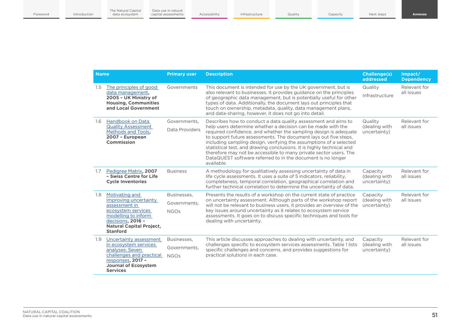| <b>Name</b> |                                                                                                                                                                                  | <b>Primary user</b>                        | <b>Description</b>                                                                                                                                                                                                                                                                                                                                                                                                                                                                                                                                                      | <b>Challenge(s)</b><br>addressed          | Impact/<br><b>Dependency</b> |
|-------------|----------------------------------------------------------------------------------------------------------------------------------------------------------------------------------|--------------------------------------------|-------------------------------------------------------------------------------------------------------------------------------------------------------------------------------------------------------------------------------------------------------------------------------------------------------------------------------------------------------------------------------------------------------------------------------------------------------------------------------------------------------------------------------------------------------------------------|-------------------------------------------|------------------------------|
| 1.5         | The principles of good<br>data management,<br>2005 - UK Ministry of<br><b>Housing, Communities</b><br>and Local Government                                                       | Governments                                | This document is intended for use by the UK government, but is<br>also relevant to businesses. It provides quidance on the principles<br>of geographic data management, but is potentially useful for other<br>types of data. Additionally, the document lays out principles that<br>touch on ownership, metadata, quality, data management plans,<br>and data-sharing, however, it does not go into detail.                                                                                                                                                            | Quality<br>Infrastructure                 | Relevant for<br>all issues   |
| 1.6         | Handbook on Data<br><b>Quality Assessment</b><br>Methods and Tools,<br>2007 - European<br>Commission                                                                             | Governments,<br>Data Providers             | Describes how to conduct a data quality assessment and aims to<br>help users determine whether a decision can be made with the<br>required confidence, and whether the sampling design is adequate<br>to support future assessments. The document lays out five steps,<br>including sampling design, verifying the assumptions of a selected<br>statistical test, and drawing conclusions. It is highly technical and<br>therefore may not be accessible to many private sector users. The<br>DataQUEST software referred to in the document is no longer<br>available. | Quality<br>(dealing with<br>uncertainty)  | Relevant for<br>all issues   |
| 1.7         | Pedigree Matrix, 2007<br>- Swiss Centre for Life<br><b>Cycle Inventories</b>                                                                                                     | <b>Business</b>                            | A methodology for qualitatively assessing uncertainty of data in<br>life cycle assessments. It uses a suite of 5 indicators, reliability,<br>completeness, temporal correlation, geographical correlation and<br>further technical correlation to determine the uncertainty of data.                                                                                                                                                                                                                                                                                    | Capacity<br>(dealing with<br>uncertainty) | Relevant for<br>all issues   |
| 1.8         | Motivating and<br>improving uncertainty<br>assessment in<br>ecosystem services<br>modelling to inform<br>decisions, 2016 -<br><b>Natural Capital Project,</b><br><b>Stanford</b> | Businesses.<br>Governments,<br><b>NGOs</b> | Presents the results of a workshop on the current state of practice<br>on uncertainty assessment. Although parts of the workshop report<br>will not be relevant to business users, it provides an overview of the<br>key issues around uncertainty as it relates to ecosystem service<br>assessments. It goes on to discuss specific techniques and tools for<br>dealing with uncertainty.                                                                                                                                                                              | Capacity<br>(dealing with<br>uncertainty) | Relevant for<br>all issues   |
| 1.9         | Uncertainty assessment<br>in ecosystem services<br>analyses: Seven<br>challenges and practical<br>responses, 2017 -<br><b>Journal of Ecosystem</b><br><b>Services</b>            | Businesses.<br>Governments,<br><b>NGOs</b> | This article discusses approaches to dealing with uncertainty, and<br>challenges specific to ecosystem services assessments. Table 1 lists<br>specific challenges and concerns, and provides suggestions for<br>practical solutions in each case.                                                                                                                                                                                                                                                                                                                       | Capacity<br>(dealing with<br>uncertainty) | Relevant for<br>all issues   |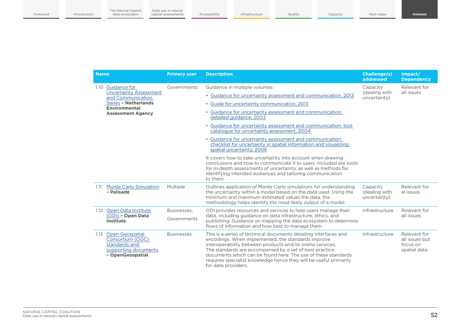| <b>Name</b> |                                                                                                         | <b>Primary user</b> | <b>Description</b>                                                                                                                                                                                                                                                                                                                                                                                          | <b>Challenge(s)</b><br><b>addressed</b>   | Impact/<br><b>Dependency</b>                               |
|-------------|---------------------------------------------------------------------------------------------------------|---------------------|-------------------------------------------------------------------------------------------------------------------------------------------------------------------------------------------------------------------------------------------------------------------------------------------------------------------------------------------------------------------------------------------------------------|-------------------------------------------|------------------------------------------------------------|
|             | 1.10 Guidance for                                                                                       | Governments         | Guidance in multiple volumes:                                                                                                                                                                                                                                                                                                                                                                               | Capacity                                  | Relevant for                                               |
|             | <b>Uncertainty Assessment</b><br>and Communication                                                      |                     | • Guidance for uncertainty assessment and communication, 2013                                                                                                                                                                                                                                                                                                                                               | (dealing with<br>uncertainty)             | all issues                                                 |
|             | Series - Netherlands<br><b>Environmental</b><br><b>Assessment Agency</b>                                |                     | • Guide for uncertainty communication, 2013                                                                                                                                                                                                                                                                                                                                                                 |                                           |                                                            |
|             |                                                                                                         |                     | • Guidance for uncertainty assessment and communication:<br>detailed quidance, 2003                                                                                                                                                                                                                                                                                                                         |                                           |                                                            |
|             |                                                                                                         |                     | • Guidance for uncertainty assessment and communication: tool<br>catalogue for uncertainty assessment, 2004                                                                                                                                                                                                                                                                                                 |                                           |                                                            |
|             |                                                                                                         |                     | • Guidance for uncertainty assessment and communication:<br>checklist for uncertainty in spatial information and visualizing<br>spatial uncertainty, 2006                                                                                                                                                                                                                                                   |                                           |                                                            |
|             |                                                                                                         |                     | It covers how to take uncertainty into account when drawing<br>conclusions and how to communicate it to users. Included are tools<br>for in-depth assessments of uncertainty, as well as methods for<br>identifying intended audiences and tailoring communication<br>to them.                                                                                                                              |                                           |                                                            |
| 1.11        | <b>Monte Carlo Simulation</b><br>- Palisade                                                             | Multiple            | Outlines application of Monte Carlo simulations for understanding<br>the uncertainty within a model based on the data used. Using the<br>minimum and maximum estimated values the data, the<br>methodology helps identify the most likely output of a model.                                                                                                                                                | Capacity<br>(dealing with<br>uncertainty) | Relevant for<br>al issues                                  |
| 1.12        | <b>Open Data Institute</b>                                                                              | Businesses,         | ODI provides resources and services to help users manage their<br>data, including guidance on data infrastructure, ethics, and<br>publishing. Guidance on mapping the data ecosystem to determine<br>flows of information and how best to manage them.                                                                                                                                                      | Infrastructure                            | Relevant for                                               |
|             | (ODI) - Open Data<br>Institute                                                                          | Governments         |                                                                                                                                                                                                                                                                                                                                                                                                             |                                           | all issues                                                 |
| 1.13        | <b>Open Geospatial</b><br>Consortium (OGC)<br>standards and<br>supporting documents<br>- OpenGeospatial | <b>Businesses</b>   | This is a series of technical documents detailing interfaces and<br>encodings. When implemented, the standards improve<br>interoperability between products and/or online services.<br>The standards are accompanied by a set of best practice<br>documents which can be found here. The use of these standards<br>requires specialist knowledge hence they will be useful primarily<br>for data providers. | Infrastructure                            | Relevant for<br>all issues but<br>focus on<br>spatial data |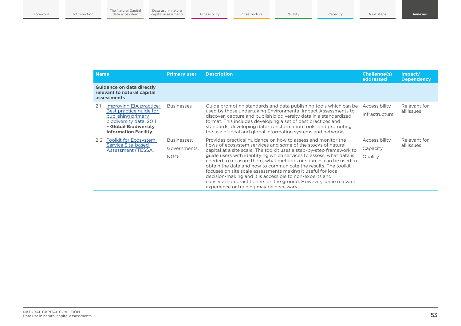| <b>Name</b>                                                                                                                                                        | <b>Primary user</b>                        | <b>Description</b>                                                                                                                                                                                                                                                                                                                                                                                                                                                                                                                                                                                                                                            | <b>Challenge(s)</b><br>addressed     | Impact/<br><b>Dependency</b> |
|--------------------------------------------------------------------------------------------------------------------------------------------------------------------|--------------------------------------------|---------------------------------------------------------------------------------------------------------------------------------------------------------------------------------------------------------------------------------------------------------------------------------------------------------------------------------------------------------------------------------------------------------------------------------------------------------------------------------------------------------------------------------------------------------------------------------------------------------------------------------------------------------------|--------------------------------------|------------------------------|
| <b>Guidance on data directly</b><br>relevant to natural capital<br>assessments                                                                                     |                                            |                                                                                                                                                                                                                                                                                                                                                                                                                                                                                                                                                                                                                                                               |                                      |                              |
| Improving EIA practice:<br>2.1<br>Best practice guide for<br>publishing primary<br>biodiversity data, 2011<br>- Global Biodiversity<br><b>Information Facility</b> | <b>Businesses</b>                          | Guide promoting standards and data publishing tools which can be<br>used by those undertaking Environmental Impact Assessments to<br>discover, capture and publish biodiversity data in a standardized<br>format. This includes developing a set of best practices and<br>standards; developing data-transformation tools; and promoting<br>the use of local and global information systems and networks                                                                                                                                                                                                                                                      | Accessibility<br>Infrastructure      | Relevant for<br>all issues   |
| 2.2 Toolkit for Ecosystem<br>Service Site-based<br>Assessment (TESSA)                                                                                              | Businesses,<br>Governments,<br><b>NGOs</b> | Provides practical guidance on how to assess and monitor the<br>flows of ecosystem services and some of the stocks of natural<br>capital at a site scale. The toolkit uses a step-by-step framework to<br>guide users with identifying which services to assess, what data is<br>needed to measure them, what methods or sources can be used to<br>obtain the data and how to communicate the results. The toolkit<br>focuses on site scale assessments making it useful for local<br>decision-making and it is accessible to non-experts and<br>conservation practitioners on the ground. However, some relevant<br>experience or training may be necessary. | Accessibility<br>Capacity<br>Quality | Relevant for<br>all issues   |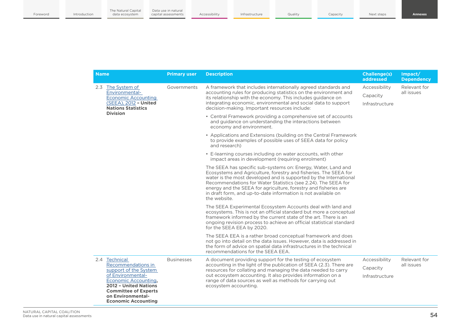| <b>Name</b>                                                                                                                                                                                                                    | <b>Primary user</b> | <b>Description</b>                                                                                                                                                                                                                                                                                                                                                                                                          | <b>Challenge(s)</b><br>addressed            | Impact/<br><b>Dependency</b>                             |
|--------------------------------------------------------------------------------------------------------------------------------------------------------------------------------------------------------------------------------|---------------------|-----------------------------------------------------------------------------------------------------------------------------------------------------------------------------------------------------------------------------------------------------------------------------------------------------------------------------------------------------------------------------------------------------------------------------|---------------------------------------------|----------------------------------------------------------|
| 2.3 The System of<br>Environmental-<br><b>Economic Accounting</b><br>(SEEA), 2012 - United<br><b>Nations Statistics</b><br><b>Division</b>                                                                                     | Governments         | A framework that includes internationally agreed standards and<br>accounting rules for producing statistics on the environment and<br>its relationship with the economy. This includes guidance on<br>integrating economic, environmental and social data to support<br>decision-making. Important resources include:                                                                                                       | Accessibility<br>Capacity<br>Infrastructure | Relevant for<br>all issues<br>Relevant for<br>all issues |
|                                                                                                                                                                                                                                |                     | • Central Framework providing a comprehensive set of accounts<br>and guidance on understanding the interactions between<br>economy and environment.                                                                                                                                                                                                                                                                         |                                             |                                                          |
|                                                                                                                                                                                                                                |                     | • Applications and Extensions (building on the Central Framework<br>to provide examples of possible uses of SEEA data for policy<br>and research)                                                                                                                                                                                                                                                                           |                                             |                                                          |
|                                                                                                                                                                                                                                |                     | • E-learning courses including on water accounts, with other<br>impact areas in development (requiring enrolment)                                                                                                                                                                                                                                                                                                           |                                             |                                                          |
|                                                                                                                                                                                                                                |                     | The SEEA has specific sub-systems on: Energy, Water, Land and<br>Ecosystems and Agriculture, forestry and fisheries. The SEEA for<br>water is the most developed and is supported by the International<br>Recommendations for Water Statistics (see 2.24). The SEEA for<br>energy and the SEEA for agriculture, forestry and fisheries are<br>in draft form, and up-to-date information is not available on<br>the website. |                                             |                                                          |
|                                                                                                                                                                                                                                |                     | The SEEA Experimental Ecosystem Accounts deal with land and<br>ecosystems. This is not an official standard but more a conceptual<br>framework informed by the current state of the art. There is an<br>ongoing revision process to achieve an official statistical standard<br>for the SEEA EEA by 2020.                                                                                                                   |                                             |                                                          |
|                                                                                                                                                                                                                                |                     | The SEEA EEA is a rather broad conceptual framework and does<br>not go into detail on the data issues. However, data is addressed in<br>the form of advice on spatial data infrastructures in the technical<br>recommendations for the SEEA EEA.                                                                                                                                                                            |                                             |                                                          |
| 2.4<br><b>Technical</b><br>Recommendations in<br>support of the System<br>of Environmental-<br>Economic Accounting,<br>2012 - United Nations<br><b>Committee of Experts</b><br>on Environmental-<br><b>Economic Accounting</b> | <b>Businesses</b>   | A document providing support for the testing of ecosystem<br>accounting in the light of the publication of SEEA (2.3). There are<br>resources for collating and managing the data needed to carry<br>out ecosystem accounting. It also provides information on a<br>range of data sources as well as methods for carrying out<br>ecosystem accounting.                                                                      | Accessibility<br>Capacity                   |                                                          |
|                                                                                                                                                                                                                                |                     |                                                                                                                                                                                                                                                                                                                                                                                                                             | Infrastructure                              |                                                          |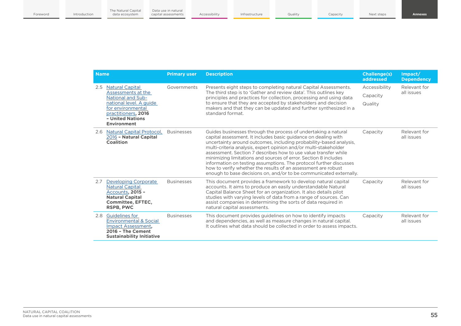| <b>Name</b>                                                                                                                                                | <b>Primary user</b>                                   | <b>Description</b>                                                                                                                                                                                                                                                                                                                                                                                                                                                                                                                                                                                                            | <b>Challenge(s)</b><br>addressed | Impact/<br><b>Dependency</b> |
|------------------------------------------------------------------------------------------------------------------------------------------------------------|-------------------------------------------------------|-------------------------------------------------------------------------------------------------------------------------------------------------------------------------------------------------------------------------------------------------------------------------------------------------------------------------------------------------------------------------------------------------------------------------------------------------------------------------------------------------------------------------------------------------------------------------------------------------------------------------------|----------------------------------|------------------------------|
| <b>Natural Capital</b><br>2.5                                                                                                                              | Governments<br>Assessments at the<br>standard format. | Presents eight steps to completing natural Capital Assessments.<br>The third step is to 'Gather and review data'. This outlines key<br>principles and practices for collection, processing and using data                                                                                                                                                                                                                                                                                                                                                                                                                     | Accessibility                    | Relevant for<br>all issues   |
| <b>National and Sub-</b>                                                                                                                                   |                                                       |                                                                                                                                                                                                                                                                                                                                                                                                                                                                                                                                                                                                                               | Capacity                         |                              |
| national level. A guide<br>for environmental<br>practitioners, 2016<br>- United Nations<br><b>Environment</b>                                              |                                                       | to ensure that they are accepted by stakeholders and decision<br>makers and that they can be updated and further synthesized in a                                                                                                                                                                                                                                                                                                                                                                                                                                                                                             | Quality                          |                              |
| 2.6 Natural Capital Protocol,<br>2016 - Natural Capital<br><b>Coalition</b>                                                                                | <b>Businesses</b>                                     | Guides businesses through the process of undertaking a natural<br>capital assessment. It includes basic guidance on dealing with<br>uncertainty around outcomes, including probability-based analysis,<br>multi-criteria analysis, expert opinion and/or multi-stakeholder<br>assessment. Section 7 describes how to use value transfer while<br>minimizing limitations and sources of error. Section 8 includes<br>information on testing assumptions. The protocol further discusses<br>how to verify whether the results of an assessment are robust<br>enough to base decisions on, and/or to be communicated externally. | Capacity                         | Relevant for<br>all issues   |
| <b>Developing Corporate</b><br>2.7<br><b>Natural Capital</b><br>Accounts, 2015 -<br><b>Natural Capital</b><br><b>Committee, EFTEC,</b><br><b>RSPB, PWC</b> | <b>Businesses</b>                                     | This document provides a framework to develop natural capital<br>accounts. It aims to produce an easily understandable Natural<br>Capital Balance Sheet for an organization. It also details pilot<br>studies with varying levels of data from a range of sources. Can<br>assist companies in determining the sorts of data required in<br>natural capital assessments.                                                                                                                                                                                                                                                       | Capacity                         | Relevant for<br>all issues   |
| <b>Guidelines for</b><br>2.8<br><b>Environmental &amp; Social</b><br>Impact Assessment.<br>2016 - The Cement<br><b>Sustainability Initiative</b>           | <b>Businesses</b>                                     | This document provides guidelines on how to identify impacts<br>and dependencies, as well as measure changes in natural capital.<br>It outlines what data should be collected in order to assess impacts.                                                                                                                                                                                                                                                                                                                                                                                                                     | Capacity                         | Relevant for<br>all issues   |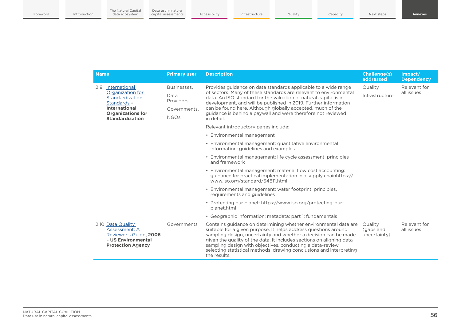| <b>Name</b>                                                                                                                                              | <b>Primary user</b>                                              | <b>Description</b>                                                                                                                                                                                                                                                                                                                                                                                                                  | <b>Challenge(s)</b><br>addressed     | Impact/<br><b>Dependency</b> |
|----------------------------------------------------------------------------------------------------------------------------------------------------------|------------------------------------------------------------------|-------------------------------------------------------------------------------------------------------------------------------------------------------------------------------------------------------------------------------------------------------------------------------------------------------------------------------------------------------------------------------------------------------------------------------------|--------------------------------------|------------------------------|
| International<br>2.9<br>Organization for<br>Standardization<br>Standards -<br><b>International</b><br><b>Organizations for</b><br><b>Standardization</b> | Businesses.<br>Data<br>Providers.<br>Governments.<br><b>NGOs</b> | Provides guidance on data standards applicable to a wide range<br>of sectors. Many of these standards are relevant to environmental<br>data. An ISO standard for the valuation of natural capital is in<br>development, and will be published in 2019. Further information<br>can be found here. Although globally accepted, much of the<br>quidance is behind a paywall and were therefore not reviewed<br>in detail.              | Quality<br>Infrastructure            | Relevant for<br>all issues   |
|                                                                                                                                                          |                                                                  | Relevant introductory pages include:                                                                                                                                                                                                                                                                                                                                                                                                |                                      |                              |
|                                                                                                                                                          |                                                                  | • Environmental management                                                                                                                                                                                                                                                                                                                                                                                                          |                                      |                              |
|                                                                                                                                                          |                                                                  | • Environmental management: quantitative environmental<br>information: guidelines and examples                                                                                                                                                                                                                                                                                                                                      |                                      |                              |
|                                                                                                                                                          |                                                                  | • Environmental management: life cycle assessment: principles<br>and framework                                                                                                                                                                                                                                                                                                                                                      |                                      |                              |
|                                                                                                                                                          |                                                                  | • Environmental management: material flow cost accounting:<br>guidance for practical implementation in a supply chainhttps://<br>www.iso.org/standard/54811.html                                                                                                                                                                                                                                                                    |                                      |                              |
|                                                                                                                                                          |                                                                  | • Environmental management: water footprint: principles,<br>requirements and quidelines                                                                                                                                                                                                                                                                                                                                             |                                      |                              |
|                                                                                                                                                          |                                                                  | • Protecting our planet: https://www.iso.org/protecting-our-<br>planet.html                                                                                                                                                                                                                                                                                                                                                         |                                      |                              |
|                                                                                                                                                          |                                                                  | • Geographic information: metadata: part 1: fundamentals                                                                                                                                                                                                                                                                                                                                                                            |                                      |                              |
| 2.10 Data Quality<br>Assessment: A<br>Reviewer's Guide, 2006<br>- US Environmental<br><b>Protection Agency</b>                                           | Governments                                                      | Contains guidance on determining whether environmental data are<br>suitable for a given purpose. It helps address questions around<br>sampling design, uncertainty and whether a decision can be made<br>given the quality of the data. It includes sections on aligning data-<br>sampling design with objectives, conducting a data-review,<br>selecting statistical methods, drawing conclusions and interpreting<br>the results. | Quality<br>(gaps and<br>uncertainty) | Relevant for<br>all issues   |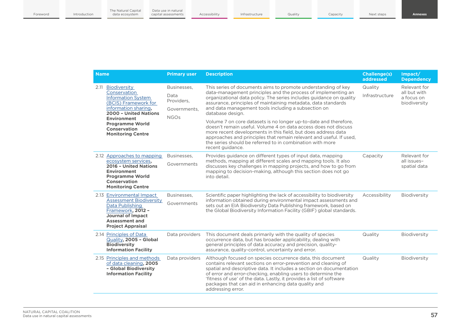| <b>Name</b>                                                                                                                                                                                                                         | <b>Primary user</b>                                              | <b>Description</b>                                                                                                                                                                                                                                                                                                                                                                                                       | <b>Challenge(s)</b><br>addressed | Impact/<br><b>Dependency</b>                               |
|-------------------------------------------------------------------------------------------------------------------------------------------------------------------------------------------------------------------------------------|------------------------------------------------------------------|--------------------------------------------------------------------------------------------------------------------------------------------------------------------------------------------------------------------------------------------------------------------------------------------------------------------------------------------------------------------------------------------------------------------------|----------------------------------|------------------------------------------------------------|
| 2.11 Biodiversity<br>Conservation<br><b>Information System</b><br>(BCIS) Framework for<br>information sharing,<br>2000 - United Nations<br><b>Environment</b><br><b>Programme World</b><br>Conservation<br><b>Monitoring Centre</b> | Businesses.<br>Data<br>Providers.<br>Governments.<br><b>NGOs</b> | This series of documents aims to promote understanding of key<br>data-management principles and the process of implementing an<br>organizational data policy. The series includes quidance on quality<br>assurance, principles of maintaining metadata, data standards<br>and data management tools including a subsection on<br>database design.                                                                        | Quality<br>Infrastructure        | Relevant for<br>all but with<br>a focus on<br>biodiversity |
|                                                                                                                                                                                                                                     |                                                                  | Volume 7 on core datasets is no longer up-to-date and therefore.<br>doesn't remain useful. Volume 4 on data access does not discuss<br>more recent developments in this field, but does address data<br>approaches and principles that remain relevant and useful. If used,<br>the series should be referred to in combination with more<br>recent guidance.                                                             |                                  |                                                            |
| 2.12 Approaches to mapping<br>ecosystem services,<br>2016 - United Nations<br><b>Environment</b><br><b>Programme World</b><br><b>Conservation</b><br><b>Monitoring Centre</b>                                                       | Businesses.<br>Governments                                       | Provides guidance on different types of input data, mapping<br>methods, mapping at different scales and mapping tools. It also<br>discusses key challenges in mapping projects, and how to go from<br>mapping to decision-making, although this section does not go<br>into detail.                                                                                                                                      | Capacity                         | Relevant for<br>all issues-<br>spatial data                |
| 2.13 Environmental Impact<br><b>Assessment Biodiversity</b><br>Data Publishing<br>Framework, 2012 -<br><b>Journal of Impact</b><br><b>Assessment and</b><br><b>Project Appraisal</b>                                                | Businesses,<br>Governments                                       | Scientific paper highlighting the lack of accessibility to biodiversity<br>information obtained during environmental impact assessments and<br>sets out an EIA Biodiversity Data Publishing framework, based on<br>the Global Biodiversity Information Facility (GBIF) global standards.                                                                                                                                 | Accessibility                    | Biodiversity                                               |
| 2.14 Principles of Data<br>Quality, 2005 - Global<br><b>Biodiversity</b><br><b>Information Facility</b>                                                                                                                             | Data providers                                                   | This document deals primarily with the quality of species<br>occurrence data, but has broader applicability, dealing with<br>general principles of data accuracy and precision, quality-<br>assurance, quality-control, uncertainty and error.                                                                                                                                                                           | Quality                          | Biodiversity                                               |
| 2.15 Principles and methods<br>of data cleaning, 2005<br>- Global Biodiversity<br><b>Information Facility</b>                                                                                                                       | Data providers                                                   | Although focused on species occurrence data, this document<br>contains relevant sections on error-prevention and cleaning of<br>spatial and descriptive data. It includes a section on documentation<br>of error and error-checking, enabling users to determine the<br>'fitness of use' of the data. Lastly, it provides a list of software<br>packages that can aid in enhancing data quality and<br>addressing error. | Quality                          | Biodiversity                                               |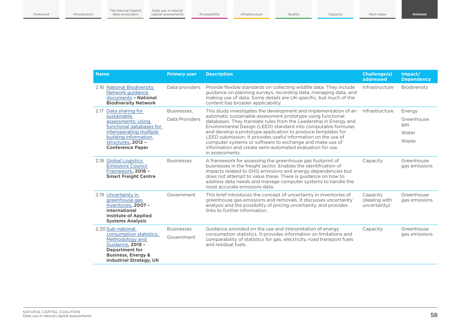| <b>Name</b>                                                                                                                                                                     | <b>Primary user</b> | <b>Description</b>                                                                                                                                                                                                                                                                                                                                                                                                                                                                                                                                | <b>Challenge(s)</b><br>addressed          | Impart/<br><b>Dependency</b> |
|---------------------------------------------------------------------------------------------------------------------------------------------------------------------------------|---------------------|---------------------------------------------------------------------------------------------------------------------------------------------------------------------------------------------------------------------------------------------------------------------------------------------------------------------------------------------------------------------------------------------------------------------------------------------------------------------------------------------------------------------------------------------------|-------------------------------------------|------------------------------|
| 2.16 National Biodiversity<br>Network quidance<br>documents - National<br><b>Biodiversity Network</b>                                                                           | Data providers      | Provide flexible standards on collecting wildlife data. They include<br>guidance on planning surveys, recording data, managing data, and<br>making use of data. Some details are UK-specific, but much of the<br>content has broader applicability.                                                                                                                                                                                                                                                                                               | Infrastructure                            | Biodiversity                 |
| Data sharing for<br>2.17                                                                                                                                                        | Businesses.         | This study investigates the development and implementation of an<br>automatic sustainable assessment prototype using functional<br>databases. They translate rules from the Leadership in Energy and<br>Environmental Design (LEED) standard into computable formulas<br>and develop a prototype application to produce templates for<br>LEED submission. It provides useful information on the use of<br>computer systems or software to exchange and make use of<br>information and create semi-automated evaluation for use<br>in assessments. | Infrastructure                            | Energy                       |
| sustainable<br>assessments: Using<br>functional databases for                                                                                                                   | Data Providers      |                                                                                                                                                                                                                                                                                                                                                                                                                                                                                                                                                   |                                           | Greenhouse<br>gas            |
| interoperating multiple                                                                                                                                                         |                     |                                                                                                                                                                                                                                                                                                                                                                                                                                                                                                                                                   |                                           | Water                        |
| building information<br>structures, 2012 -<br><b>Conference Paper</b>                                                                                                           |                     |                                                                                                                                                                                                                                                                                                                                                                                                                                                                                                                                                   |                                           | Waste                        |
| 2.18 Global Logistics<br><b>Emissions Council</b><br>Framework, 2016 -<br><b>Smart Freight Centre</b>                                                                           | <b>Businesses</b>   | A framework for assessing the greenhouse gas footprint of<br>businesses in the freight sector. Enables the identification of<br>impacts related to GHG emissions and energy dependencies but<br>does not attempt to value these. There is guidance on how to<br>address data needs and manage computer systems to handle the<br>most accurate emissions data.                                                                                                                                                                                     | Capacity                                  | Greenhouse<br>gas emissions  |
| 2.19 Uncertainty in<br>greenhouse gas<br>inventories, 2007 -<br><b>International</b><br><b>Institute of Applied</b><br><b>Systems Analysis</b>                                  | Government          | This brief introduces the concept of uncertainty in inventories of<br>greenhouse gas emissions and removals. It discusses uncertainty<br>analysis and the possibility of pricing uncertainty, and provides<br>links to further information.                                                                                                                                                                                                                                                                                                       | Capacity<br>(dealing with<br>uncertainty) | Greenhouse<br>gas emissions  |
| 2.20 Sub-national<br>consumption statistics:<br>Methodology and<br>Guidance, 2018 -<br><b>Department for</b><br><b>Business, Energy &amp;</b><br><b>Industrial Strategy, UK</b> | <b>Businesses</b>   | Guidance provided on the use and interpretation of energy<br>consumption statistics. It provides information on limitations and<br>comparability of statistics for gas, electricity, road transport fuels<br>and residual fuels.                                                                                                                                                                                                                                                                                                                  | Capacity                                  | Greenhouse                   |
|                                                                                                                                                                                 | Government          |                                                                                                                                                                                                                                                                                                                                                                                                                                                                                                                                                   |                                           | gas emissions                |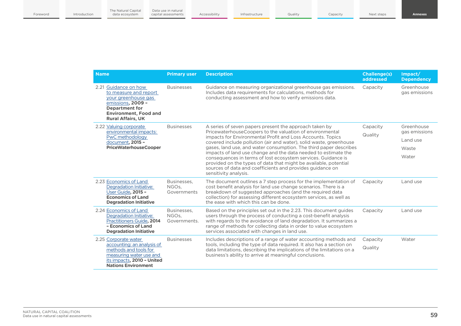| <b>Name</b>                                                                                                                                                                    | <b>Primary user</b>                  | <b>Description</b>                                                                                                                                                                                                                                                                                                                                                                                                                                                                                                                                                                                                       | <b>Challenge(s)</b><br>addressed | Impact/<br><b>Dependency</b> |
|--------------------------------------------------------------------------------------------------------------------------------------------------------------------------------|--------------------------------------|--------------------------------------------------------------------------------------------------------------------------------------------------------------------------------------------------------------------------------------------------------------------------------------------------------------------------------------------------------------------------------------------------------------------------------------------------------------------------------------------------------------------------------------------------------------------------------------------------------------------------|----------------------------------|------------------------------|
| 2.21 Guidance on how<br>to measure and report<br>your greenhouse gas<br>emissions, 2009 -<br><b>Department for</b><br><b>Environment, Food and</b><br><b>Rural Affairs, UK</b> | <b>Businesses</b>                    | Guidance on measuring organizational greenhouse gas emissions.<br>Includes data requirements for calculations, methods for<br>conducting assessment and how to verify emissions data.                                                                                                                                                                                                                                                                                                                                                                                                                                    | Capacity                         | Greenhouse<br>gas emissions  |
| 2.22 Valuing corporate<br>environmental impacts:                                                                                                                               | <b>Businesses</b>                    | A series of seven papers present the approach taken by<br>PricewaterhouseCoopers to the valuation of environmental<br>impacts for Environmental Profit and Loss Accounts. Topics<br>covered include pollution (air and water), solid waste, greenhouse<br>gases, land use, and water consumption. The third paper describes<br>impacts of land use change and the data needed to estimate the<br>consequences in terms of lost ecosystem services. Guidance is<br>provided on the types of data that might be available, potential<br>sources of data and coefficients and provides guidance on<br>sensitivity analysis. | Capacity                         | Greenhouse<br>gas emissions  |
| PwC methodology<br>document, 2015 -                                                                                                                                            |                                      |                                                                                                                                                                                                                                                                                                                                                                                                                                                                                                                                                                                                                          | Quality                          | Land use                     |
| <b>PriceWaterhouseCooper</b>                                                                                                                                                   |                                      |                                                                                                                                                                                                                                                                                                                                                                                                                                                                                                                                                                                                                          |                                  | Waste                        |
|                                                                                                                                                                                |                                      |                                                                                                                                                                                                                                                                                                                                                                                                                                                                                                                                                                                                                          |                                  | Water                        |
| 2.23 Economics of Land<br>Degradation Initiative:<br>User Guide, 2015 -<br><b>Economics of Land</b><br><b>Degradation Initiative</b>                                           | Businesses.<br>NGOs,<br>Governments  | The document outlines a 7 step process for the implementation of<br>cost benefit analysis for land use change scenarios. There is a<br>breakdown of suggested approaches (and the required data<br>collection) for assessing different ecosystem services, as well as<br>the ease with which this can be done.                                                                                                                                                                                                                                                                                                           | Capacity                         | Land use                     |
| 2.24 Economics of Land<br>Degradation Initiative:<br>Practitioners Guide, 2014<br>- Economics of Land<br><b>Degradation Initiative</b>                                         | Businesses,<br>NGOs.<br>Governments. | Based on the principles set out in the 2.23. This document guides<br>users through the process of conducting a cost-benefit analysis<br>with regards to the avoidance of land degradation. It summarizes a<br>range of methods for collecting data in order to value ecosystem<br>services associated with changes in land use.                                                                                                                                                                                                                                                                                          | Capacity                         | Land use                     |
| 2.25 Corporate water<br>accounting: an analysis of<br>methods and tools for<br>measuring water use and<br>its impacts, 2010 - United<br><b>Nations Environment</b>             | <b>Businesses</b>                    | Includes descriptions of a range of water accounting methods and<br>tools, including the type of data required. It also has a section on<br>data limitations, describing the implications of the limitations on a<br>business's ability to arrive at meaningful conclusions.                                                                                                                                                                                                                                                                                                                                             | Capacity                         | Water                        |
|                                                                                                                                                                                |                                      |                                                                                                                                                                                                                                                                                                                                                                                                                                                                                                                                                                                                                          | Quality                          |                              |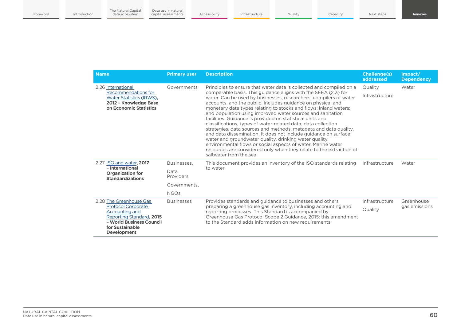| <b>Name</b>                                                                                                                                                             | <b>Primary user</b> | <b>Description</b>                                                                                                                                                                                                                                                                                                                                                                                                                                                                                                                                                                                                                                                                                                                                                                                                                    | <b>Challenge(s)</b><br>addressed | Impact/<br><b>Dependency</b> |
|-------------------------------------------------------------------------------------------------------------------------------------------------------------------------|---------------------|---------------------------------------------------------------------------------------------------------------------------------------------------------------------------------------------------------------------------------------------------------------------------------------------------------------------------------------------------------------------------------------------------------------------------------------------------------------------------------------------------------------------------------------------------------------------------------------------------------------------------------------------------------------------------------------------------------------------------------------------------------------------------------------------------------------------------------------|----------------------------------|------------------------------|
| 2.26 International                                                                                                                                                      | Governments         | Principles to ensure that water data is collected and compiled on a                                                                                                                                                                                                                                                                                                                                                                                                                                                                                                                                                                                                                                                                                                                                                                   | Quality                          | Water                        |
| Recommendations for<br>Water Statistics (IRWS).<br>2012 - Knowledge Base<br>on Economic Statistics                                                                      |                     | comparable basis. This guidance aligns with the SEEA (2.3) for<br>water. Can be used by businesses, researchers, compilers of water<br>accounts, and the public. Includes guidance on physical and<br>monetary data types relating to stocks and flows; inland waters;<br>and population using improved water sources and sanitation<br>facilities. Guidance is provided on statistical units and<br>classifications, types of water-related data, data collection<br>strategies, data sources and methods, metadata and data quality,<br>and data dissemination. It does not include guidance on surface<br>water and groundwater quality, drinking water quality,<br>environmental flows or social aspects of water. Marine water<br>resources are considered only when they relate to the extraction of<br>saltwater from the sea. | Infrastructure                   |                              |
| 2.27 ISO and water, 2017                                                                                                                                                | Businesses.         | This document provides an inventory of the ISO standards relating<br>to water.                                                                                                                                                                                                                                                                                                                                                                                                                                                                                                                                                                                                                                                                                                                                                        | Infrastructure                   | Water                        |
| - International<br><b>Organization for</b><br><b>Standardizations</b>                                                                                                   | Data<br>Providers.  |                                                                                                                                                                                                                                                                                                                                                                                                                                                                                                                                                                                                                                                                                                                                                                                                                                       |                                  |                              |
|                                                                                                                                                                         | Governments.        |                                                                                                                                                                                                                                                                                                                                                                                                                                                                                                                                                                                                                                                                                                                                                                                                                                       |                                  |                              |
|                                                                                                                                                                         | <b>NGOs</b>         |                                                                                                                                                                                                                                                                                                                                                                                                                                                                                                                                                                                                                                                                                                                                                                                                                                       |                                  |                              |
| 2.28 The Greenhouse Gas<br><b>Protocol Corporate</b><br>Accounting and<br>Reporting Standard, 2015<br>- World Business Council<br>for Sustainable<br><b>Development</b> | <b>Businesses</b>   | Provides standards and guidance to businesses and others                                                                                                                                                                                                                                                                                                                                                                                                                                                                                                                                                                                                                                                                                                                                                                              | Infrastructure                   | Greenhouse                   |
|                                                                                                                                                                         |                     | preparing a greenhouse gas inventory, including accounting and<br>reporting processes. This Standard is accompanied by:<br>Greenhouse Gas Protocol Scope 2 Guidance, 2015: this amendment<br>to the Standard adds information on new requirements.                                                                                                                                                                                                                                                                                                                                                                                                                                                                                                                                                                                    | Quality                          | gas emissions                |